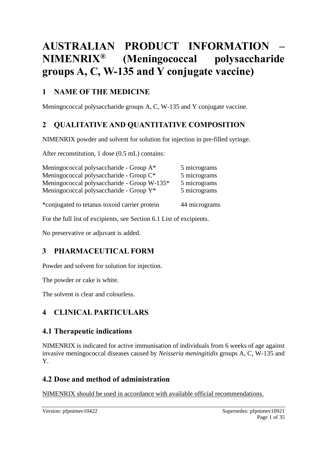# **AUSTRALIAN PRODUCT INFORMATION – NIMENRIX® (Meningococcal polysaccharide groups A, C, W-135 and Y conjugate vaccine)**

### **1 NAME OF THE MEDICINE**

Meningococcal polysaccharide groups A, C, W-135 and Y conjugate vaccine.

# **2 QUALITATIVE AND QUANTITATIVE COMPOSITION**

NIMENRIX powder and solvent for solution for injection in pre-filled syringe.

After reconstitution, 1 dose (0.5 mL) contains:

| Meningococcal polysaccharide - Group A*             | 5 micrograms  |
|-----------------------------------------------------|---------------|
| Meningococcal polysaccharide - Group C <sup>*</sup> | 5 micrograms  |
| Meningococcal polysaccharide - Group W-135*         | 5 micrograms  |
| Meningococcal polysaccharide - Group Y*             | 5 micrograms  |
| *conjugated to tetanus toxoid carrier protein       | 44 micrograms |
|                                                     |               |

For the full list of excipients, see Section 6.1 List of excipients.

No preservative or adjuvant is added.

# **3 PHARMACEUTICAL FORM**

Powder and solvent for solution for injection.

The powder or cake is white.

The solvent is clear and colourless.

# **4 CLINICAL PARTICULARS**

### **4.1 Therapeutic indications**

NIMENRIX is indicated for active immunisation of individuals from 6 weeks of age against invasive meningococcal diseases caused by *Neisseria meningitidis* groups A, C, W-135 and Y.

### **4.2 Dose and method of administration**

NIMENRIX should be used in accordance with available official recommendations.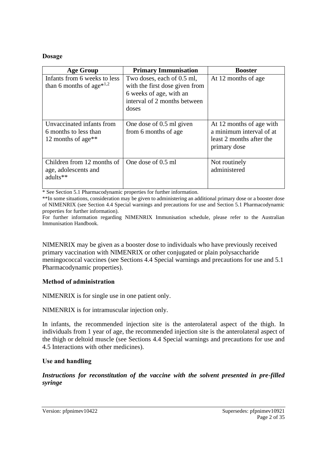#### **Dosage**

| <b>Age Group</b>                                                                     | <b>Primary Immunisation</b>                                                                                                      | <b>Booster</b>                                                                                   |
|--------------------------------------------------------------------------------------|----------------------------------------------------------------------------------------------------------------------------------|--------------------------------------------------------------------------------------------------|
| Infants from 6 weeks to less<br>than 6 months of age <sup><math>*1,2</math></sup>    | Two doses, each of 0.5 ml,<br>with the first dose given from<br>6 weeks of age, with an<br>interval of 2 months between<br>doses | At 12 months of age                                                                              |
| Unvaccinated infants from<br>6 months to less than<br>12 months of age <sup>**</sup> | One dose of 0.5 ml given<br>from 6 months of age                                                                                 | At 12 months of age with<br>a minimum interval of at<br>least 2 months after the<br>primary dose |
| Children from 12 months of<br>age, adolescents and<br>adults**                       | One dose of 0.5 ml                                                                                                               | Not routinely<br>administered                                                                    |

\* See Section 5.1 Pharmacodynamic properties for further information.

\*\*In some situations, consideration may be given to administering an additional primary dose or a booster dose of NIMENRIX (see Section 4.4 Special warnings and precautions for use and Section 5.1 Pharmacodynamic properties for further information).

For further information regarding NIMENRIX Immunisation schedule, please refer to the Australian Immunisation Handbook.

NIMENRIX may be given as a booster dose to individuals who have previously received primary vaccination with NIMENRIX or other conjugated or plain polysaccharide meningococcal vaccines (see Sections 4.4 Special warnings and precautions for use and 5.1 Pharmacodynamic properties).

#### **Method of administration**

NIMENRIX is for single use in one patient only.

NIMENRIX is for intramuscular injection only.

In infants, the recommended injection site is the anterolateral aspect of the thigh. In individuals from 1 year of age, the recommended injection site is the anterolateral aspect of the thigh or deltoid muscle (see Sections 4.4 Special warnings and precautions for use and 4.5 Interactions with other medicines).

#### **Use and handling**

*Instructions for reconstitution of the vaccine with the solvent presented in pre-filled syringe*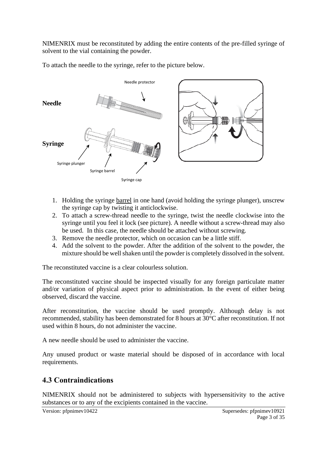NIMENRIX must be reconstituted by adding the entire contents of the pre-filled syringe of solvent to the vial containing the powder.

To attach the needle to the syringe, refer to the picture below.



- 1. Holding the syringe barrel in one hand (avoid holding the syringe plunger), unscrew the syringe cap by twisting it anticlockwise.
- 2. To attach a screw-thread needle to the syringe, twist the needle clockwise into the syringe until you feel it lock (see picture). A needle without a screw-thread may also be used. In this case, the needle should be attached without screwing.
- 3. Remove the needle protector, which on occasion can be a little stiff.
- 4. Add the solvent to the powder. After the addition of the solvent to the powder, the mixture should be well shaken until the powder is completely dissolved in the solvent.

The reconstituted vaccine is a clear colourless solution.

The reconstituted vaccine should be inspected visually for any foreign particulate matter and/or variation of physical aspect prior to administration. In the event of either being observed, discard the vaccine.

After reconstitution, the vaccine should be used promptly. Although delay is not recommended, stability has been demonstrated for 8 hours at 30°C after reconstitution. If not used within 8 hours, do not administer the vaccine.

A new needle should be used to administer the vaccine.

Any unused product or waste material should be disposed of in accordance with local requirements.

### **4.3 Contraindications**

NIMENRIX should not be administered to subjects with hypersensitivity to the active substances or to any of the excipients contained in the vaccine.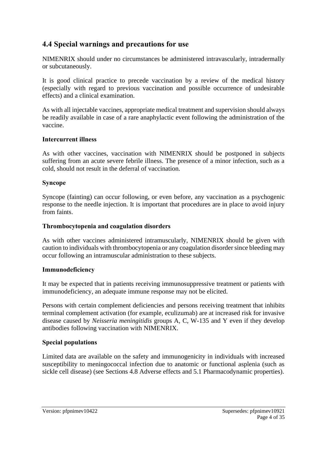### **4.4 Special warnings and precautions for use**

NIMENRIX should under no circumstances be administered intravascularly, intradermally or subcutaneously.

It is good clinical practice to precede vaccination by a review of the medical history (especially with regard to previous vaccination and possible occurrence of undesirable effects) and a clinical examination.

As with all injectable vaccines, appropriate medical treatment and supervision should always be readily available in case of a rare anaphylactic event following the administration of the vaccine.

#### **Intercurrent illness**

As with other vaccines, vaccination with NIMENRIX should be postponed in subjects suffering from an acute severe febrile illness. The presence of a minor infection, such as a cold, should not result in the deferral of vaccination.

#### **Syncope**

Syncope (fainting) can occur following, or even before, any vaccination as a psychogenic response to the needle injection. It is important that procedures are in place to avoid injury from faints.

#### **Thrombocytopenia and coagulation disorders**

As with other vaccines administered intramuscularly, NIMENRIX should be given with caution to individuals with thrombocytopenia or any coagulation disorder since bleeding may occur following an intramuscular administration to these subjects.

#### **Immunodeficiency**

It may be expected that in patients receiving immunosuppressive treatment or patients with immunodeficiency, an adequate immune response may not be elicited.

Persons with certain complement deficiencies and persons receiving treatment that inhibits terminal complement activation (for example, eculizumab) are at increased risk for invasive disease caused by *Neisseria meningitidis* groups A, C, W-135 and Y even if they develop antibodies following vaccination with NIMENRIX.

#### **Special populations**

Limited data are available on the safety and immunogenicity in individuals with increased susceptibility to meningococcal infection due to anatomic or functional asplenia (such as sickle cell disease) (see Sections 4.8 Adverse effects and 5.1 Pharmacodynamic properties).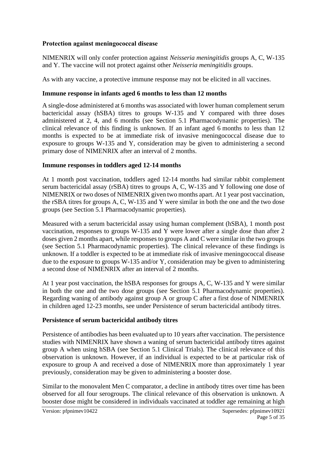#### **Protection against meningococcal disease**

NIMENRIX will only confer protection against *Neisseria meningitidis* groups A, C, W-135 and Y. The vaccine will not protect against other *Neisseria meningitidis* groups.

As with any vaccine, a protective immune response may not be elicited in all vaccines.

#### **Immune response in infants aged 6 months to less than 12 months**

A single-dose administered at 6 months was associated with lower human complement serum bactericidal assay (hSBA) titres to groups W-135 and Y compared with three doses administered at 2, 4, and 6 months (see Section 5.1 Pharmacodynamic properties). The clinical relevance of this finding is unknown. If an infant aged 6 months to less than 12 months is expected to be at immediate risk of invasive meningococcal disease due to exposure to groups W-135 and Y, consideration may be given to administering a second primary dose of NIMENRIX after an interval of 2 months.

#### **Immune responses in toddlers aged 12-14 months**

At 1 month post vaccination, toddlers aged 12-14 months had similar rabbit complement serum bactericidal assay (rSBA) titres to groups A, C, W-135 and Y following one dose of NIMENRIX or two doses of NIMENRIX given two months apart. At 1 year post vaccination, the rSBA titres for groups A, C, W-135 and Y were similar in both the one and the two dose groups (see Section 5.1 Pharmacodynamic properties).

Measured with a serum bactericidal assay using human complement (hSBA), 1 month post vaccination, responses to groups W-135 and Y were lower after a single dose than after 2 doses given 2 months apart, while responses to groups A and C were similar in the two groups (see Section 5.1 Pharmacodynamic properties). The clinical relevance of these findings is unknown. If a toddler is expected to be at immediate risk of invasive meningococcal disease due to the exposure to groups W-135 and/or Y, consideration may be given to administering a second dose of NIMENRIX after an interval of 2 months.

At 1 year post vaccination, the hSBA responses for groups A, C, W-135 and Y were similar in both the one and the two dose groups (see Section 5.1 Pharmacodynamic properties). Regarding waning of antibody against group A or group C after a first dose of NIMENRIX in children aged 12-23 months, see under Persistence of serum bactericidal antibody titres.

#### **Persistence of serum bactericidal antibody titres**

Persistence of antibodies has been evaluated up to 10 years after vaccination. The persistence studies with NIMENRIX have shown a waning of serum bactericidal antibody titres against group A when using hSBA (see Section 5.1 Clinical Trials). The clinical relevance of this observation is unknown. However, if an individual is expected to be at particular risk of exposure to group A and received a dose of NIMENRIX more than approximately 1 year previously, consideration may be given to administering a booster dose.

Similar to the monovalent Men C comparator, a decline in antibody titres over time has been observed for all four serogroups. The clinical relevance of this observation is unknown. A booster dose might be considered in individuals vaccinated at toddler age remaining at high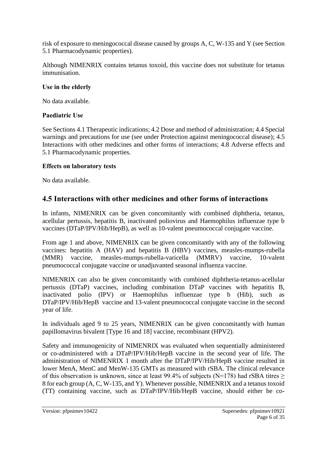risk of exposure to meningococcal disease caused by groups A, C, W-135 and Y (see Section 5.1 Pharmacodynamic properties).

Although NIMENRIX contains tetanus toxoid, this vaccine does not substitute for tetanus immunisation.

#### **Use in the elderly**

No data available.

#### **Paediatric Use**

See Sections 4.1 Therapeutic indications; 4.2 Dose and method of administration; 4.4 Special warnings and precautions for use (see under Protection against meningococcal disease); 4.5 Interactions with other medicines and other forms of interactions; 4.8 Adverse effects and 5.1 Pharmacodynamic properties.

#### **Effects on laboratory tests**

No data available.

### **4.5 Interactions with other medicines and other forms of interactions**

In infants, NIMENRIX can be given concomitantly with combined diphtheria, tetanus, acellular pertussis, hepatitis B, inactivated poliovirus and Haemophilus influenzae type b vaccines (DTaP/IPV/Hib/HepB), as well as 10-valent pneumococcal conjugate vaccine.

From age 1 and above, NIMENRIX can be given concomitantly with any of the following vaccines: hepatitis A (HAV) and hepatitis B (HBV) vaccines, measles-mumps-rubella (MMR) vaccine, measles-mumps-rubella-varicella (MMRV) vaccine, 10-valent pneumococcal conjugate vaccine or unadjuvanted seasonal influenza vaccine.

NIMENRIX can also be given concomitantly with combined diphtheria-tetanus-acellular pertussis (DTaP) vaccines, including combination DTaP vaccines with hepatitis B, inactivated polio (IPV) or Haemophilus influenzae type b (Hib), such as DTaP/IPV/Hib/HepB vaccine and 13-valent pneumococcal conjugate vaccine in the second year of life.

In individuals aged 9 to 25 years, NIMENRIX can be given concomitantly with human papillomavirus bivalent [Type 16 and 18] vaccine, recombinant (HPV2).

Safety and immunogenicity of NIMENRIX was evaluated when sequentially administered or co-administered with a DTaP/IPV/Hib/HepB vaccine in the second year of life. The administration of NIMENRIX 1 month after the DTaP/IPV/Hib/HepB vaccine resulted in lower MenA, MenC and MenW-135 GMTs as measured with rSBA. The clinical relevance of this observation is unknown, since at least 99.4% of subjects ( $N=178$ ) had rSBA titres > 8 for each group (A, C, W-135, and Y). Whenever possible, NIMENRIX and a tetanus toxoid (TT) containing vaccine, such as DTaP/IPV/Hib/HepB vaccine, should either be co-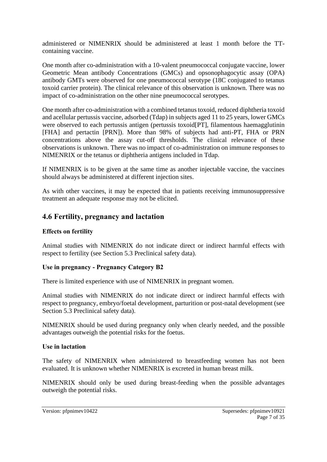administered or NIMENRIX should be administered at least 1 month before the TTcontaining vaccine.

One month after co-administration with a 10-valent pneumococcal conjugate vaccine, lower Geometric Mean antibody Concentrations (GMCs) and opsonophagocytic assay (OPA) antibody GMTs were observed for one pneumococcal serotype (18C conjugated to tetanus toxoid carrier protein). The clinical relevance of this observation is unknown. There was no impact of co-administration on the other nine pneumococcal serotypes.

One month after co-administration with a combined tetanus toxoid, reduced diphtheria toxoid and acellular pertussis vaccine, adsorbed (Tdap) in subjects aged 11 to 25 years, lower GMCs were observed to each pertussis antigen (pertussis toxoid[PT], filamentous haemagglutinin [FHA] and pertactin [PRN]). More than 98% of subjects had anti-PT, FHA or PRN concentrations above the assay cut-off thresholds. The clinical relevance of these observations is unknown. There was no impact of co-administration on immune responses to NIMENRIX or the tetanus or diphtheria antigens included in Tdap.

If NIMENRIX is to be given at the same time as another injectable vaccine, the vaccines should always be administered at different injection sites.

As with other vaccines, it may be expected that in patients receiving immunosuppressive treatment an adequate response may not be elicited.

### **4.6 Fertility, pregnancy and lactation**

#### **Effects on fertility**

Animal studies with NIMENRIX do not indicate direct or indirect harmful effects with respect to fertility (see Section 5.3 Preclinical safety data).

#### **Use in pregnancy - Pregnancy Category B2**

There is limited experience with use of NIMENRIX in pregnant women.

Animal studies with NIMENRIX do not indicate direct or indirect harmful effects with respect to pregnancy, embryo/foetal development, parturition or post-natal development (see Section 5.3 Preclinical safety data).

NIMENRIX should be used during pregnancy only when clearly needed, and the possible advantages outweigh the potential risks for the foetus.

#### **Use in lactation**

The safety of NIMENRIX when administered to breastfeeding women has not been evaluated. It is unknown whether NIMENRIX is excreted in human breast milk.

NIMENRIX should only be used during breast-feeding when the possible advantages outweigh the potential risks.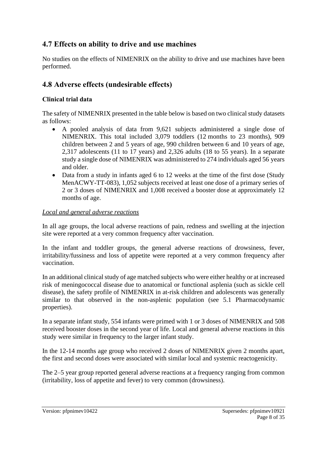# **4.7 Effects on ability to drive and use machines**

No studies on the effects of NIMENRIX on the ability to drive and use machines have been performed.

# **4.8 Adverse effects (undesirable effects)**

### **Clinical trial data**

The safety of NIMENRIX presented in the table below is based on two clinical study datasets as follows:

- A pooled analysis of data from 9,621 subjects administered a single dose of NIMENRIX. This total included 3,079 toddlers (12 months to 23 months), 909 children between 2 and 5 years of age, 990 children between 6 and 10 years of age, 2,317 adolescents (11 to 17 years) and 2,326 adults (18 to 55 years). In a separate study a single dose of NIMENRIX was administered to 274 individuals aged 56 years and older.
- Data from a study in infants aged 6 to 12 weeks at the time of the first dose (Study MenACWY-TT-083), 1,052 subjects received at least one dose of a primary series of 2 or 3 doses of NIMENRIX and 1,008 received a booster dose at approximately 12 months of age.

#### *Local and general adverse reactions*

In all age groups, the local adverse reactions of pain, redness and swelling at the injection site were reported at a very common frequency after vaccination.

In the infant and toddler groups, the general adverse reactions of drowsiness, fever, irritability/fussiness and loss of appetite were reported at a very common frequency after vaccination.

In an additional clinical study of age matched subjects who were either healthy or at increased risk of meningococcal disease due to anatomical or functional asplenia (such as sickle cell disease), the safety profile of NIMENRIX in at-risk children and adolescents was generally similar to that observed in the non-asplenic population (see 5.1 Pharmacodynamic properties).

In a separate infant study, 554 infants were primed with 1 or 3 doses of NIMENRIX and 508 received booster doses in the second year of life. Local and general adverse reactions in this study were similar in frequency to the larger infant study.

In the 12-14 months age group who received 2 doses of NIMENRIX given 2 months apart, the first and second doses were associated with similar local and systemic reactogenicity.

The 2–5 year group reported general adverse reactions at a frequency ranging from common (irritability, loss of appetite and fever) to very common (drowsiness).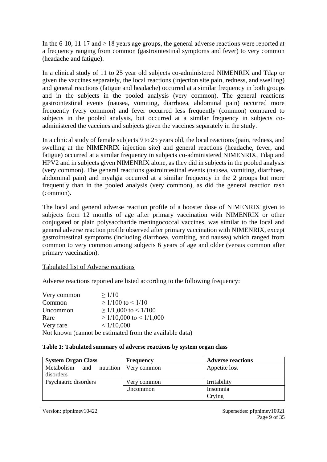In the 6-10, 11-17 and  $\geq 18$  years age groups, the general adverse reactions were reported at a frequency ranging from common (gastrointestinal symptoms and fever) to very common (headache and fatigue).

In a clinical study of 11 to 25 year old subjects co-administered NIMENRIX and Tdap or given the vaccines separately, the local reactions (injection site pain, redness, and swelling) and general reactions (fatigue and headache) occurred at a similar frequency in both groups and in the subjects in the pooled analysis (very common). The general reactions gastrointestinal events (nausea, vomiting, diarrhoea, abdominal pain) occurred more frequently (very common) and fever occurred less frequently (common) compared to subjects in the pooled analysis, but occurred at a similar frequency in subjects coadministered the vaccines and subjects given the vaccines separately in the study.

In a clinical study of female subjects 9 to 25 years old, the local reactions (pain, redness, and swelling at the NIMENRIX injection site) and general reactions (headache, fever, and fatigue) occurred at a similar frequency in subjects co-administered NIMENRIX, Tdap and HPV2 and in subjects given NIMENRIX alone, as they did in subjects in the pooled analysis (very common). The general reactions gastrointestinal events (nausea, vomiting, diarrhoea, abdominal pain) and myalgia occurred at a similar frequency in the 2 groups but more frequently than in the pooled analysis (very common), as did the general reaction rash (common).

The local and general adverse reaction profile of a booster dose of NIMENRIX given to subjects from 12 months of age after primary vaccination with NIMENRIX or other conjugated or plain polysaccharide meningococcal vaccines, was similar to the local and general adverse reaction profile observed after primary vaccination with NIMENRIX, except gastrointestinal symptoms (including diarrhoea, vomiting, and nausea) which ranged from common to very common among subjects 6 years of age and older (versus common after primary vaccination).

#### Tabulated list of Adverse reactions

Adverse reactions reported are listed according to the following frequency:

| Very common | >1/10                                                   |
|-------------|---------------------------------------------------------|
| Common      | $>1/100$ to $< 1/10$                                    |
| Uncommon    | $\geq$ 1/1,000 to < 1/100                               |
| Rare        | $\geq$ 1/10,000 to < 1/1,000                            |
| Very rare   | < 1/10,000                                              |
|             | Not known (cannot be estimated from the available data) |

#### **Table 1: Tabulated summary of adverse reactions by system organ class**

| <b>System Organ Class</b> | <b>Frequency</b>        | <b>Adverse reactions</b> |
|---------------------------|-------------------------|--------------------------|
| Metabolism<br>and         | nutrition   Very common | Appetite lost            |
| disorders                 |                         |                          |
| Psychiatric disorders     | Very common             | Irritability             |
|                           | Uncommon                | Insomnia                 |
|                           |                         | Crying                   |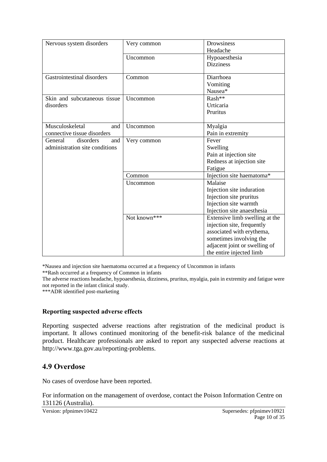| Nervous system disorders       | Very common  | Drowsiness<br>Headache         |
|--------------------------------|--------------|--------------------------------|
|                                | Uncommon     | Hypoaesthesia                  |
|                                |              | <b>Dizziness</b>               |
|                                |              |                                |
| Gastrointestinal disorders     | Common       | Diarrhoea                      |
|                                |              | Vomiting                       |
|                                |              | Nausea*                        |
| Skin and subcutaneous tissue   | Uncommon     | Rash**                         |
| disorders                      |              | Urticaria                      |
|                                |              | Pruritus                       |
| Musculoskeletal<br>and         | Uncommon     | Myalgia                        |
| connective tissue disorders    |              | Pain in extremity              |
| disorders<br>General<br>and    | Very common  | Fever                          |
| administration site conditions |              | Swelling                       |
|                                |              | Pain at injection site         |
|                                |              | Redness at injection site      |
|                                |              | Fatigue                        |
|                                | Common       | Injection site haematoma*      |
|                                | Uncommon     | Malaise                        |
|                                |              | Injection site induration      |
|                                |              | Injection site pruritus        |
|                                |              | Injection site warmth          |
|                                |              | Injection site anaesthesia     |
|                                | Not known*** | Extensive limb swelling at the |
|                                |              | injection site, frequently     |
|                                |              | associated with erythema,      |
|                                |              | sometimes involving the        |
|                                |              | adjacent joint or swelling of  |
|                                |              | the entire injected limb       |

\*Nausea and injection site haematoma occurred at a frequency of Uncommon in infants

\*\*Rash occurred at a frequency of Common in infants

The adverse reactions headache, hypoaesthesia, dizziness, pruritus, myalgia, pain in extremity and fatigue were not reported in the infant clinical study.

\*\*\*ADR identified post-marketing

#### **Reporting suspected adverse effects**

Reporting suspected adverse reactions after registration of the medicinal product is important. It allows continued monitoring of the benefit-risk balance of the medicinal product. Healthcare professionals are asked to report any suspected adverse reactions at http://www.tga.gov.au/reporting-problems.

### **4.9 Overdose**

No cases of overdose have been reported.

For information on the management of overdose, contact the Poison Information Centre on 131126 (Australia).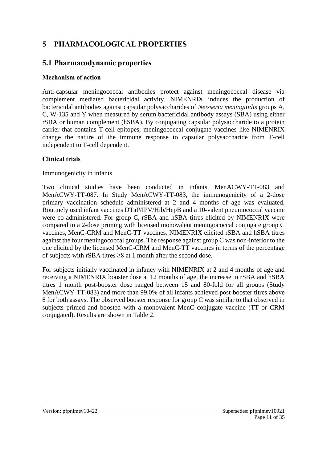### **5 PHARMACOLOGICAL PROPERTIES**

### **5.1 Pharmacodynamic properties**

#### **Mechanism of action**

Anti-capsular meningococcal antibodies protect against meningococcal disease via complement mediated bactericidal activity. NIMENRIX induces the production of bactericidal antibodies against capsular polysaccharides of *Neisseria meningitidis* groups A, C, W-135 and Y when measured by serum bactericidal antibody assays (SBA) using either rSBA or human complement (hSBA). By conjugating capsular polysaccharide to a protein carrier that contains T-cell epitopes, meningococcal conjugate vaccines like NIMENRIX change the nature of the immune response to capsular polysaccharide from T-cell independent to T-cell dependent.

#### **Clinical trials**

#### Immunogenicity in infants

Two clinical studies have been conducted in infants, MenACWY-TT-083 and MenACWY-TT-087. In Study MenACWY-TT-083, the immunogenicity of a 2-dose primary vaccination schedule administered at 2 and 4 months of age was evaluated. Routinely used infant vaccines DTaP/IPV/Hib/HepB and a 10-valent pneumococcal vaccine were co-administered. For group C, rSBA and hSBA titres elicited by NIMENRIX were compared to a 2-dose priming with licensed monovalent meningococcal conjugate group C vaccines, MenC-CRM and MenC-TT vaccines. NIMENRIX elicited rSBA and hSBA titres against the four meningococcal groups. The response against group C was non-inferior to the one elicited by the licensed MenC-CRM and MenC-TT vaccines in terms of the percentage of subjects with rSBA titres ≥8 at 1 month after the second dose.

For subjects initially vaccinated in infancy with NIMENRIX at 2 and 4 months of age and receiving a NIMENRIX booster dose at 12 months of age, the increase in rSBA and hSBA titres 1 month post-booster dose ranged between 15 and 80-fold for all groups (Study MenACWY-TT-083) and more than 99.0% of all infants achieved post-booster titres above 8 for both assays. The observed booster response for group C was similar to that observed in subjects primed and boosted with a monovalent MenC conjugate vaccine (TT or CRM conjugated). Results are shown in Table 2.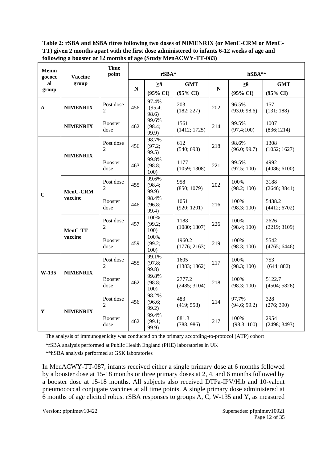**Table 2: rSBA and hSBA titres following two doses of NIMENRIX (or MenC-CRM or MenC-TT) given 2 months apart with the first dose administered to infants 6-12 weeks of age and following a booster at 12 months of age (Study MenACWY-TT-083)**

| <b>Menin</b><br>gococc | <b>Vaccine</b>      | <b>Time</b><br>point        |           | rSBA*                               |                                   |           | hSBA**                          |                                   |  |  |
|------------------------|---------------------|-----------------------------|-----------|-------------------------------------|-----------------------------------|-----------|---------------------------------|-----------------------------------|--|--|
| al<br>group            | group               |                             | ${\bf N}$ | $\geq 8$<br>$(95\% \text{ CI})$     | <b>GMT</b><br>$(95\% \text{ CI})$ | ${\bf N}$ | $\geq 8$<br>$(95\% \text{ CI})$ | <b>GMT</b><br>$(95\% \text{ CI})$ |  |  |
| A                      | <b>NIMENRIX</b>     | Post dose<br>$\mathfrak{D}$ | 456       | 97.4%<br>(95.4;<br>98.6)            | 203<br>(182; 227)                 | 202       | 96.5%<br>(93.0; 98.6)           | 157<br>(131; 188)                 |  |  |
|                        | <b>NIMENRIX</b>     | <b>Booster</b><br>dose      | 462       | 99.6%<br>(98.4;<br>99.9             | 1561<br>(1412; 1725)              | 214       | 99.5%<br>(97.4;100)             | 1007<br>(836;1214)                |  |  |
|                        | <b>NIMENRIX</b>     | Post dose<br>2              | 456       | 98.7%<br>(97.2;<br>99.5)            | 612<br>(540; 693)                 | 218       | 98.6%<br>(96.0; 99.7)           | 1308<br>(1052; 1627)              |  |  |
|                        |                     | <b>Booster</b><br>dose      | 463       | 99.8%<br>(98.8;<br>100 <sup>o</sup> | 1177<br>(1059; 1308)              | 221       | 99.5%<br>(97.5; 100)            | 4992<br>(4086; 6100)              |  |  |
| $\mathbf C$            | MenC-CRM<br>vaccine | Post dose<br>2              | 455       | 99.6%<br>(98.4;<br>99.9)            | 958<br>(850; 1079)                | 202       | 100%<br>(98.2; 100)             | 3188<br>(2646; 3841)              |  |  |
|                        |                     | <b>Booster</b><br>dose      | 446       | 98.4%<br>(96.8;<br>99.4)            | 1051<br>(920; 1201)               | 216       | 100%<br>(98.3; 100)             | 5438.2<br>(4412; 6702)            |  |  |
|                        | MenC-TT             | Post dose<br>$\overline{2}$ | 457       | 100%<br>(99.2;<br>100)              | 1188<br>(1080; 1307)              | 226       | 100%<br>(98.4; 100)             | 2626<br>(2219; 3109)              |  |  |
|                        | vaccine             | <b>Booster</b><br>dose      | 459       | 100%<br>(99.2;<br>100)              | 1960.2<br>(1776; 2163)            | 219       | 100%<br>(98.3; 100)             | 5542<br>(4765; 6446)              |  |  |
| W-135                  | <b>NIMENRIX</b>     | Post dose<br>2              | 455       | 99.1%<br>(97.8;<br>99.8)            | 1605<br>(1383; 1862)              | 217       | 100%<br>(98.3; 100)             | 753<br>(644; 882)                 |  |  |
|                        |                     | <b>Booster</b><br>dose      | 462       | 99.8%<br>(98.8;<br>100)             | 2777.2<br>(2485; 3104)            | 218       | 100%<br>(98.3; 100)             | 5122.7<br>(4504; 5826)            |  |  |
|                        |                     | Post dose<br>2              | 456       | 98.2%<br>(96.6;<br>99.2)            | 483<br>(419; 558)                 | 214       | 97.7%<br>(94.6; 99.2)           | 328<br>(276; 390)                 |  |  |
| $\mathbf Y$            | <b>NIMENRIX</b>     | <b>Booster</b><br>dose      | 462       | 99.4%<br>(99.1;<br>99.9)            | 881.3<br>(788; 986)               | 217       | 100%<br>(98.3; 100)             | 2954<br>(2498; 3493)              |  |  |

The analysis of immunogenicity was conducted on the primary according-to-protocol (ATP) cohort

\*rSBA analysis performed at Public Health England (PHE) laboratories in UK

\*\*hSBA analysis performed at GSK laboratories

In MenACWY-TT-087, infants received either a single primary dose at 6 months followed by a booster dose at 15-18 months or three primary doses at 2, 4, and 6 months followed by a booster dose at 15-18 months. All subjects also received DTPa-IPV/Hib and 10-valent pneumococcal conjugate vaccines at all time points. A single primary dose administered at 6 months of age elicited robust rSBA responses to groups A, C, W-135 and Y, as measured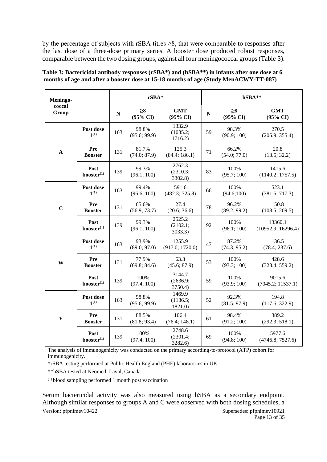by the percentage of subjects with rSBA titres  $\geq 8$ , that were comparable to responses after the last dose of a three-dose primary series. A booster dose produced robust responses, comparable between the two dosing groups, against all four meningococcal groups (Table 3).

| Meningo-        |                                       |           | $rSBA*$                         |                                   |           | hSBA**                          |                                   |  |  |
|-----------------|---------------------------------------|-----------|---------------------------------|-----------------------------------|-----------|---------------------------------|-----------------------------------|--|--|
| coccal<br>Group |                                       | ${\bf N}$ | $\geq 8$<br>$(95\% \text{ CI})$ | <b>GMT</b><br>$(95\% \text{ CI})$ | ${\bf N}$ | $\geq 8$<br>$(95\% \text{ CI})$ | <b>GMT</b><br>$(95\% \text{ CI})$ |  |  |
|                 | Post dose<br>$1^{(1)}$                | 163       | 98.8%<br>(95.6; 99.9)           | 1332.9<br>(1035.2;<br>1716.2)     | 59        | 98.3%<br>(90.9; 100)            | 270.5<br>(205.9; 355.4)           |  |  |
| $\mathbf A$     | Pre<br><b>Booster</b>                 | 131       | 81.7%<br>(74.0; 87.9)           | 125.3<br>(84.4; 186.1)            | 71        | 66.2%<br>(54.0; 77.0)           | 20.8<br>(13.5; 32.2)              |  |  |
|                 | Post<br>booster <sup>(1)</sup>        | 139       | 99.3%<br>(96.1; 100)            | 2762.3<br>(2310.3;<br>3302.8)     | 83        | 100%<br>(95.7; 100)             | 1415.6<br>(1140.2; 1757.5)        |  |  |
|                 | Post dose<br>$1^{(1)}$                | 163       | 99.4%<br>(96.6; 100)            | 591.6<br>(482.3; 725.8)           | 66        | 100%<br>(94.6;100)              | 523.1<br>(381.5; 717.3)           |  |  |
| $\mathbf C$     | Pre<br><b>Booster</b>                 | 131       | 65.6%<br>(56.9; 73.7)           | 27.4<br>(20.6; 36.6)              | 78        | 96.2%<br>(89.2; 99.2)           | 150.8<br>(108.5; 209.5)           |  |  |
|                 | Post<br>booster <sup>(1)</sup>        | 139       | 99.3%<br>(96.1; 100)            | 2525.2<br>(2102.1;<br>3033.3)     | 92        | 100%<br>(96.1; 100)             | 13360.1<br>(10952.9; 16296.4)     |  |  |
|                 | Post dose<br>$1^{(1)}$                | 163       | 93.9%<br>(89.0; 97.0)           | 1255.9<br>(917.0; 1720.0)         | 47        | 87.2%<br>(74.3; 95.2)           | 136.5<br>(78.4; 237.6)            |  |  |
| W               | Pre<br><b>Booster</b>                 | 131       | 77.9%<br>(69.8; 84.6)           | 63.3<br>(45.6; 87.9)              | 53        | 100%<br>(93.3; 100)             | 428.6<br>(328.4; 559.2)           |  |  |
|                 | Post<br>booster <sup>(1)</sup>        | 139       | 100%<br>(97.4; 100)             | 3144.7<br>(2636.9;<br>3750.4)     | 59        | 100%<br>(93.9; 100)             | 9015.6<br>(7045.2; 11537.1)       |  |  |
|                 | Post dose<br>$1^{(1)}$                | 163       | 98.8%<br>(95.6; 99.9)           | 1469.9<br>(1186.5;<br>1821.0)     | 52        | 92.3%<br>(81.5; 97.9)           | 194.8<br>(117.6; 322.9)           |  |  |
| Y               | Pre<br><b>Booster</b>                 | 131       | 88.5%<br>(81.8; 93.4)           | 106.4<br>(76.4; 148.1)            | 61        | 98.4%<br>(91.2; 100)            | 389.2<br>(292.3; 518.1)           |  |  |
|                 | <b>Post</b><br>booster <sup>(1)</sup> | 139       | 100%<br>(97.4; 100)             | 2748.6<br>(2301.4;<br>3282.6)     | 69        | 100%<br>(94.8; 100)             | 5977.6<br>(4746.8; 7527.6)        |  |  |

**Table 3: Bactericidal antibody responses (rSBA\*) and (hSBA\*\*) in infants after one dose at 6 months of age and after a booster dose at 15-18 months of age (Study MenACWY-TT-087)**

The analysis of immunogenicity was conducted on the primary according-to-protocol (ATP) cohort for immunogenicity.

\*rSBA testing performed at Public Health England (PHE) laboratories in UK

\*\*hSBA tested at Neomed, Laval, Canada

(1) blood sampling performed 1 month post vaccination

Serum bactericidal activity was also measured using hSBA as a secondary endpoint. Although similar responses to groups A and C were observed with both dosing schedules, a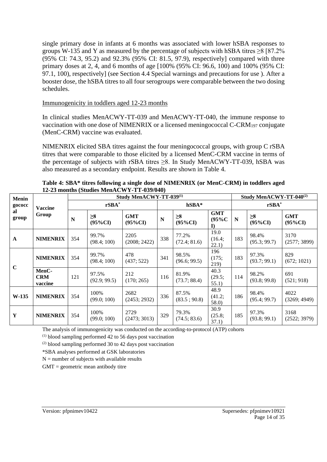single primary dose in infants at 6 months was associated with lower hSBA responses to groups W-135 and Y as measured by the percentage of subjects with hSBA titres  $\geq 8$  [87.2% (95% CI: 74.3, 95.2) and 92.3% (95% CI: 81.5, 97.9), respectively] compared with three primary doses at 2, 4, and 6 months of age [100% (95% CI: 96.6, 100) and 100% (95% CI: 97.1, 100), respectively] (see Section 4.4 Special warnings and precautions for use ). After a booster dose, the hSBA titres to all four serogroups were comparable between the two dosing schedules.

#### Immunogenicity in toddlers aged 12-23 months

In clinical studies MenACWY-TT-039 and MenACWY-TT-040, the immune response to vaccination with one dose of NIMENRIX or a licensed meningococcal  $C\text{-}CRM_{197}$  conjugate (MenC-CRM) vaccine was evaluated.

NIMENRIX elicited SBA titres against the four meningococcal groups, with group C rSBA titres that were comparable to those elicited by a licensed MenC-CRM vaccine in terms of the percentage of subjects with rSBA titres  $\geq 8$ . In Study MenACWY-TT-039, hSBA was also measured as a secondary endpoint. Results are shown in Table 4.

| <b>Menin</b> |                                |           |                        | Study MenACWY-TT-039(1)  | Study MenACWY-TT-040 <sup>(2)</sup> |                        |                                     |     |                        |                          |
|--------------|--------------------------------|-----------|------------------------|--------------------------|-------------------------------------|------------------------|-------------------------------------|-----|------------------------|--------------------------|
| gococc       | <b>Vaccine</b>                 | $rSBA^*$  |                        |                          |                                     | $hSBA*$                |                                     |     | $rSBA^*$               |                          |
| al<br>group  | Group                          | ${\bf N}$ | $\geq 8$<br>$(95\%CI)$ | <b>GMT</b><br>$(95\%CI)$ | $\mathbf N$                         | $\geq 8$<br>$(95\%CI)$ | <b>GMT</b><br>$(95\%C)$<br>$\bf{I}$ | N   | $\geq 8$<br>$(95\%CI)$ | <b>GMT</b><br>$(95\%CI)$ |
| $\mathbf{A}$ | <b>NIMENRIX</b>                | 354       | 99.7%<br>(98.4; 100)   | 2205<br>(2008; 2422)     | 338                                 | 77.2%<br>(72.4; 81.6)  | 19.0<br>(16.4;<br>22.1)             | 183 | 98.4%<br>(95.3; 99.7)  | 3170<br>(2577; 3899)     |
|              | <b>NIMENRIX</b>                | 354       | 99.7%<br>(98.4; 100)   | 478<br>(437; 522)        | 341                                 | 98.5%<br>(96.6; 99.5)  | 196<br>(175;<br>219)                | 183 | 97.3%<br>(93.7; 99.1)  | 829<br>(672; 1021)       |
| $\mathbf C$  | MenC-<br><b>CRM</b><br>vaccine | 121       | 97.5%<br>(92.9; 99.5)  | 212<br>(170; 265)        | 116                                 | 81.9%<br>(73.7; 88.4)  | 40.3<br>(29.5;<br>55.1)             | 114 | 98.2%<br>(93.8; 99.8)  | 691<br>(521; 918)        |
| W-135        | <b>NIMENRIX</b>                | 354       | 100%<br>(99.0; 100)    | 2682<br>(2453; 2932)     | 336                                 | 87.5%<br>(83.5; 90.8)  | 48.9<br>(41.2;<br>58.0              | 186 | 98.4%<br>(95.4; 99.7)  | 4022<br>(3269; 4949)     |
| Y            | <b>NIMENRIX</b>                | 354       | 100%<br>(99.0; 100)    | 2729<br>(2473; 3013)     | 329                                 | 79.3%<br>(74.5; 83.6)  | 30.9<br>(25.8;<br>37.1)             | 185 | 97.3%<br>(93.8; 99.1)  | 3168<br>(2522; 3979)     |

**Table 4: SBA\* titres following a single dose of NIMENRIX (or MenC-CRM) in toddlers aged 12-23 months (Studies MenACWY-TT-039/040)**

The analysis of immunogenicity was conducted on the according-to-protocol (ATP) cohorts

 $(1)$  blood sampling performed 42 to 56 days post vaccination

(2) blood sampling performed 30 to 42 days post vaccination

\*SBA analyses performed at GSK laboratories

 $N =$  number of subjects with available results

 $GMT =$  geometric mean antibody titre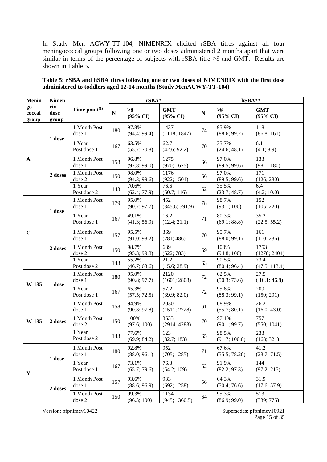In Study Men ACWY-TT-104, NIMENRIX elicited rSBA titres against all four meningococcal groups following one or two doses administered 2 months apart that were similar in terms of the percentage of subjects with rSBA titre  $\geq 8$  and GMT. Results are shown in Table 5.

| <b>Menin</b>           | <b>Nimen</b>         |                          | rSBA*     |                                 |                                   |           | hSBA**                          |                                   |  |
|------------------------|----------------------|--------------------------|-----------|---------------------------------|-----------------------------------|-----------|---------------------------------|-----------------------------------|--|
| go-<br>coccal<br>group | rix<br>dose<br>group | Time $point^{(1)}$       | ${\bf N}$ | $\geq 8$<br>$(95\% \text{ CI})$ | <b>GMT</b><br>$(95\% \text{ CI})$ | ${\bf N}$ | $\geq 8$<br>$(95\% \text{ CI})$ | <b>GMT</b><br>$(95\% \text{ CI})$ |  |
|                        | 1 dose               | 1 Month Post<br>dose 1   | 180       | 97.8%<br>(94.4; 99.4)           | 1437<br>(1118; 1847)              | 74        | 95.9%<br>(88.6; 99.2)           | 118<br>(86.8; 161)                |  |
|                        |                      | 1 Year<br>Post dose 1    | 167       | 63.5%<br>(55.7; 70.8)           | 62.7<br>(42.6; 92.2)              | 70        | 35.7%<br>(24.6; 48.1)           | 6.1<br>(4.1; 8.9)                 |  |
| $\mathbf{A}$           |                      | 1 Month Post<br>dose 1   | 158       | 96.8%<br>(92.8; 99.0)           | 1275<br>(970; 1675)               | 66        | 97.0%<br>(89.5; 99.6)           | 133<br>(98.1; 180)                |  |
|                        | 2 doses              | 1 Month Post<br>dose 2   | 150       | 98.0%<br>(94.3; 99.6)           | 1176<br>(922; 1501)               | 66        | 97.0%<br>(89.5; 99.6)           | 171<br>(126; 230)                 |  |
|                        |                      | 1 Year<br>Post dose 2    | 143       | 70.6%<br>(62.4; 77.9)           | 76.6<br>(50.7; 116)               | 62        | 35.5%<br>(23.7; 48.7)           | 6.4<br>(4.2; 10.0)                |  |
|                        | 1 dose               | 1 Month Post<br>dose 1   | 179       | 95.0%<br>(90.7; 97.7)           | 452<br>(345.6; 591.9)             | 78        | 98.7%<br>(93.1; 100)            | 152<br>(105; 220)                 |  |
|                        |                      | 1 Year<br>Post dose 1    | 167       | 49.1%<br>(41.3; 56.9)           | 16.2<br>(12.4; 21.1)              | 71        | 80.3%<br>(69.1; 88.8)           | 35.2<br>(22.5; 55.2)              |  |
| $\mathbf C$            |                      | 1 Month Post<br>dose 1   | 157       | 95.5%<br>(91.0; 98.2)           | 369<br>(281; 486)                 | 70        | 95.7%<br>(88.0; 99.1)           | 161<br>(110; 236)                 |  |
|                        | 2 doses              | 1 Month Post<br>$dose$ 2 | 150       | 98.7%<br>(95.3; 99.8)           | 639<br>(522; 783)                 | 69        | 100%<br>(94.8; 100)             | 1753<br>(1278; 2404)              |  |
|                        |                      | 1 Year<br>Post dose 2    | 143       | 55.2%<br>(46.7; 63.6)           | 21.2<br>(15.6; 28.9)              | 63        | 90.5%<br>(80.4; 96.4)           | 73.4<br>(47.5; 113.4)             |  |
| W-135                  | 1 dose               | 1 Month Post<br>dose 1   | 180       | 95.0%<br>(90.8; 97.7)           | 2120<br>(1601; 2808)              | 72        | 62.5%<br>(50.3; 73.6)           | 27.5<br>(16.1; 46.8)              |  |
|                        |                      | 1 Year<br>Post dose 1    | 167       | 65.3%<br>(57.5; 72.5)           | 57.2<br>(39.9; 82.0)              | 72        | 95.8%<br>(88.3; 99.1)           | 209<br>(150; 291)                 |  |
|                        |                      | 1 Month Post<br>dose 1   | 158       | 94.9%<br>(90.3; 97.8)           | 2030<br>(1511; 2728)              | 61        | 68.9%<br>(55.7; 80.1)           | 26.2<br>(16.0; 43.0)              |  |
| W-135                  | 2 doses              | 1 Month Post<br>dose 2   | 150       | 100%<br>(97.6; 100)             | 3533<br>(2914; 4283)              | 70        | 97.1%<br>(90.1; 99.7)           | 757<br>(550; 1041)                |  |
|                        |                      | 1 Year<br>Post dose 2    | 143       | 77.6%<br>(69.9; 84.2)           | 123<br>(82.7; 183)                | 65        | 98.5%<br>(91.7; 100.0)          | 233<br>(168; 321)                 |  |
|                        | 1 dose               | 1 Month Post<br>dose 1   | 180       | 92.8%<br>(88.0; 96.1)           | 952<br>(705; 1285)                | 71        | 67.6%<br>(55.5; 78.20)          | 41.2<br>(23.7; 71.5)              |  |
| $\mathbf Y$            |                      | 1 Year<br>Post dose 1    | 167       | 73.1%<br>(65.7; 79.6)           | 76.8<br>(54.2; 109)               | 62        | 91.9%<br>(82.2; 97.3)           | 144<br>(97.2; 215)                |  |
|                        | 2 doses              | 1 Month Post<br>dose 1   | 157       | 93.6%<br>(88.6; 96.9)           | 933<br>(692; 1258)                | 56        | 64.3%<br>(50.4; 76.6)           | 31.9<br>(17.6; 57.9)              |  |
|                        |                      | 1 Month Post<br>dose 2   | 150       | 99.3%<br>(96.3; 100)            | 1134<br>(945; 1360.5)             | 64        | 95.3%<br>(86.9; 99.0)           | 513<br>(339; 775)                 |  |

**Table 5: rSBA and hSBA titres following one or two doses of NIMENRIX with the first dose administered to toddlers aged 12-14 months (Study MenACWY-TT-104)**

Version: pfpnimev10422 Supersedes: pfpnimev10921

Page 15 of 35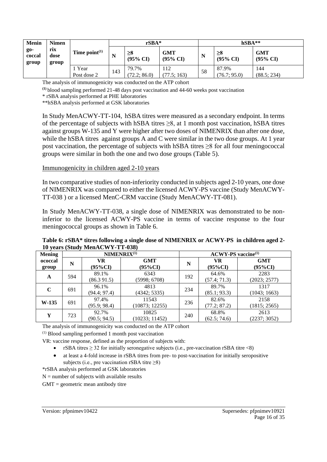| <b>Menin</b>           | <b>Nimen</b>         |                     |     | $rSBA*$                         |                                   |    | $hSBA**$                        |                                   |
|------------------------|----------------------|---------------------|-----|---------------------------------|-----------------------------------|----|---------------------------------|-----------------------------------|
| go-<br>coccal<br>group | rix<br>dose<br>group | Time $point^{(1)}$  | N   | $\geq 8$<br>$(95\% \text{ CI})$ | <b>GMT</b><br>$(95\% \text{ CI})$ | N  | $\geq 8$<br>$(95\% \text{ CI})$ | <b>GMT</b><br>$(95\% \text{ CI})$ |
|                        |                      | Year<br>Post dose 2 | 143 | 79.7%<br>(72.2; 86.0)           | 112<br>(77.5; 163)                | 58 | 87.9%<br>(76.7; 95.0)           | 144<br>(88.5; 234)                |

The analysis of immunogenicity was conducted on the ATP cohort

**(1)** blood sampling performed 21-48 days post vaccination and 44-60 weeks post vaccination

\* rSBA analysis performed at PHE laboratories

\*\*hSBA analysis performed at GSK laboratories

In Study MenACWY-TT-104, hSBA titres were measured as a secondary endpoint. In terms of the percentage of subjects with hSBA titres ≥8, at 1 month post vaccination, hSBA titres against groups W-135 and Y were higher after two doses of NIMENRIX than after one dose, while the hSBA titres against groups A and C were similar in the two dose groups. At 1 year post vaccination, the percentage of subjects with hSBA titres ≥8 for all four meningococcal groups were similar in both the one and two dose groups (Table 5).

#### Immunogenicity in children aged 2-10 years

In two comparative studies of non-inferiority conducted in subjects aged 2-10 years, one dose of NIMENRIX was compared to either the licensed ACWY-PS vaccine (Study MenACWY-TT-038 ) or a licensed MenC-CRM vaccine (Study MenACWY-TT-081).

In Study MenACWY-TT-038, a single dose of NIMENRIX was demonstrated to be noninferior to the licensed ACWY-PS vaccine in terms of vaccine response to the four meningococcal groups as shown in Table 6.

#### **Table 6: rSBA\* titres following a single dose of NIMENRIX or ACWY-PS in children aged 2- 10 years (Study MenACWY-TT-038)**

| <b>Mening</b>    |     | NIMENRIX <sup>(1)</sup> |                               | <b>ACWY-PS</b> vaccine <sup>(1)</sup> |                       |                          |  |  |  |
|------------------|-----|-------------------------|-------------------------------|---------------------------------------|-----------------------|--------------------------|--|--|--|
| ococcal<br>group | N   | <b>VR</b><br>$(95\%CI)$ | <b>GMT</b><br>N<br>$(95\%CI)$ |                                       | VR<br>$(95\%CI)$      | <b>GMT</b><br>$(95\%CI)$ |  |  |  |
| A                | 594 | 89.1%<br>(86.391.5)     | 6343<br>(5998; 6708)          | 192                                   | 64.6%<br>(57.4; 71.3) | 2283<br>(2023; 2577)     |  |  |  |
| C                | 691 | 96.1%<br>(94.4; 97.4)   | 4813<br>(4342; 5335)          | 234                                   | 89.7%<br>(85.1; 93.3) | 1317<br>(1043; 1663)     |  |  |  |
| $W-135$          | 691 | 97.4%<br>(95.9; 98.4)   | 11543<br>(10873; 12255)       | 236                                   | 82.6%<br>(77.2; 87.2) | 2158<br>(1815; 2565)     |  |  |  |
| Y                | 723 | 92.7%<br>(90.5; 94.5)   | 10825<br>(10233; 11452)       | 240                                   | 68.8%<br>(62.5; 74.6) | 2613<br>(2237; 3052)     |  |  |  |

The analysis of immunogenicity was conducted on the ATP cohort

(1) Blood sampling performed 1 month post vaccination

VR: vaccine response, defined as the proportion of subjects with:

- rSBA titres  $\geq$  32 for initially seronegative subjects (i.e., pre-vaccination rSBA titre <8)
- at least a 4-fold increase in rSBA titres from pre- to post-vaccination for initially seropositive subjects (i.e., pre vaccination rSBA titre  $\geq$ 8)

\*rSBA analysis performed at GSK laboratories

 $N =$  number of subjects with available results

 $GMT =$  geometric mean antibody titre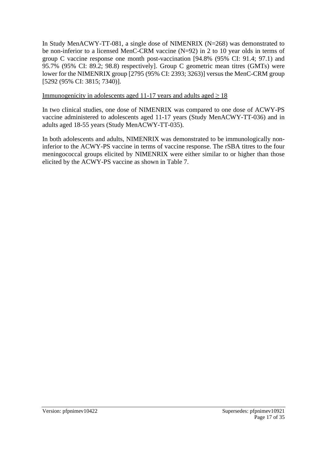In Study MenACWY-TT-081, a single dose of NIMENRIX (N=268) was demonstrated to be non-inferior to a licensed MenC-CRM vaccine (N=92) in 2 to 10 year olds in terms of group C vaccine response one month post-vaccination [94.8% (95% CI: 91.4; 97.1) and 95.7% (95% CI: 89.2; 98.8) respectively]. Group C geometric mean titres (GMTs) were lower for the NIMENRIX group [2795 (95% CI: 2393; 3263)] versus the MenC-CRM group [5292 (95% CI: 3815; 7340)].

#### Immunogenicity in adolescents aged 11-17 years and adults aged  $\geq 18$

In two clinical studies, one dose of NIMENRIX was compared to one dose of ACWY-PS vaccine administered to adolescents aged 11-17 years (Study MenACWY-TT-036) and in adults aged 18-55 years (Study MenACWY-TT-035).

In both adolescents and adults, NIMENRIX was demonstrated to be immunologically noninferior to the ACWY-PS vaccine in terms of vaccine response. The rSBA titres to the four meningococcal groups elicited by NIMENRIX were either similar to or higher than those elicited by the ACWY-PS vaccine as shown in Table 7.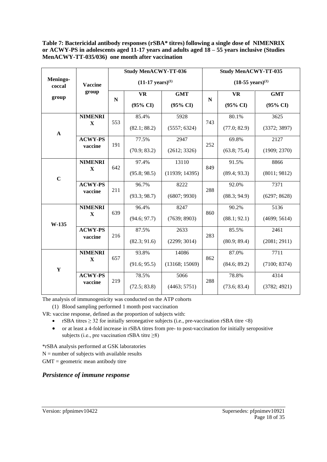**Table 7: Bactericidal antibody responses (rSBA\* titres) following a single dose of NIMENRIX or ACWY-PS in adolescents aged 11-17 years and adults aged 18 – 55 years inclusive (Studies MenACWY-TT-035/036) one month after vaccination**

|                    |                |           | <b>Study MenACWY-TT-036</b>   |                     |                               | <b>Study MenACWY-TT-035</b> |                     |  |  |
|--------------------|----------------|-----------|-------------------------------|---------------------|-------------------------------|-----------------------------|---------------------|--|--|
| Meningo-<br>coccal | <b>Vaccine</b> |           | $(11-17 \text{ years})^{(1)}$ |                     | $(18-55 \text{ years})^{(1)}$ |                             |                     |  |  |
| group              | group          |           | <b>VR</b>                     | <b>GMT</b>          |                               | <b>VR</b>                   | <b>GMT</b>          |  |  |
|                    |                | ${\bf N}$ | $(95\% \text{ CI})$           | $(95\% \text{ CI})$ | $\mathbf N$                   | $(95\% \text{ CI})$         | $(95\% \text{ CI})$ |  |  |
|                    | <b>NIMENRI</b> |           | 85.4%                         | 5928                |                               | 80.1%                       | 3625                |  |  |
| $\mathbf A$        | X              | 553       | (82.1; 88.2)                  | (5557; 6324)        | 743                           | (77.0; 82.9)                | (3372; 3897)        |  |  |
|                    | <b>ACWY-PS</b> |           | 77.5%                         | 2947                |                               | 69.8%                       | 2127                |  |  |
|                    | vaccine        | 191       | (70.9; 83.2)                  | (2612; 3326)        | 252                           | (63.8; 75.4)                | (1909; 2370)        |  |  |
|                    | <b>NIMENRI</b> |           | 97.4%                         | 13110               | 849                           | 91.5%                       | 8866                |  |  |
| $\mathbf C$        | $\mathbf X$    | 642       | (95.8; 98.5)                  | (11939; 14395)      |                               | (89.4; 93.3)                | (8011; 9812)        |  |  |
|                    | <b>ACWY-PS</b> |           | 96.7%                         | 8222                | 288                           | 92.0%                       | 7371                |  |  |
|                    | vaccine        | 211       | (93.3; 98.7)                  | (6807; 9930)        |                               | (88.3; 94.9)                | (6297; 8628)        |  |  |
|                    | <b>NIMENRI</b> | 639       | 96.4%                         | 8247                | 860                           | 90.2%                       | 5136                |  |  |
| W-135              | X              |           | (94.6; 97.7)                  | (7639; 8903)        |                               | (88.1; 92.1)                | (4699; 5614)        |  |  |
|                    | <b>ACWY-PS</b> | 216       | 87.5%                         | 2633                | 283                           | 85.5%                       | 2461                |  |  |
|                    | vaccine        |           | (82.3; 91.6)                  | (2299; 3014)        |                               | (80.9; 89.4)                | (2081; 2911)        |  |  |
|                    | <b>NIMENRI</b> | 657       | 93.8%                         | 14086               | 862                           | 87.0%                       | 7711                |  |  |
| $\mathbf Y$        | $\mathbf X$    |           | (91.6; 95.5)                  | (13168; 15069)      |                               | (84.6; 89.2)                | (7100; 8374)        |  |  |
|                    | <b>ACWY-PS</b> | 219       | 78.5%                         | 5066                |                               | 78.8%                       | 4314                |  |  |
|                    | vaccine        |           | (72.5; 83.8)                  | (4463; 5751)        | 288                           | (73.6; 83.4)                | (3782; 4921)        |  |  |

The analysis of immunogenicity was conducted on the ATP cohorts

(1) Blood sampling performed 1 month post vaccination

VR: vaccine response, defined as the proportion of subjects with:

- rSBA titres  $\geq$  32 for initially seronegative subjects (i.e., pre-vaccination rSBA titre <8)
- or at least a 4-fold increase in rSBA titres from pre- to post-vaccination for initially seropositive subjects (i.e., pre vaccination rSBA titre  $\geq 8$ )

\*rSBA analysis performed at GSK laboratories

 $N =$  number of subjects with available results

 $GMT =$  geometric mean antibody titre

#### *Persistence of immune response*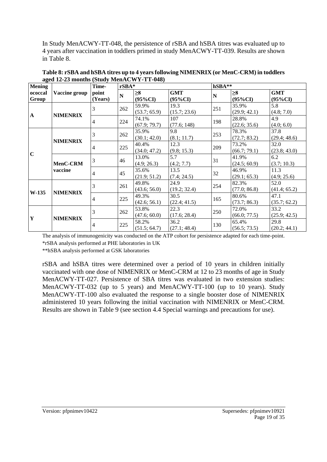In Study MenACWY-TT-048, the persistence of rSBA and hSBA titres was evaluated up to 4 years after vaccination in toddlers primed in study MenACWY-TT-039. Results are shown in Table 8.

| <b>Mening</b>    |                 | Time-            | $rSBA*$                 |                        |                          |     | hSBA**                 |                          |  |  |
|------------------|-----------------|------------------|-------------------------|------------------------|--------------------------|-----|------------------------|--------------------------|--|--|
| ococcal<br>Group | Vaccine group   | point<br>(Years) | $\overline{\mathbf{N}}$ | $\geq 8$<br>$(95\%CI)$ | <b>GMT</b><br>$(95\%CI)$ | N   | $\geq 8$<br>$(95\%CI)$ | <b>GMT</b><br>$(95\%CI)$ |  |  |
|                  |                 | 3                | 262                     | 59.9%<br>(53.7; 65.9)  | 19.3<br>(15.7; 23.6)     | 251 | 35.9%<br>(29.9; 42.1)  | 5.8<br>(4.8; 7.0)        |  |  |
| $\mathbf A$      | <b>NIMENRIX</b> | $\overline{4}$   | 224                     | 74.1%<br>(67.9; 79.7)  | 107<br>(77.6; 148)       | 198 | 28.8%<br>(22.6; 35.6)  | 4.9<br>(4.0; 6.0)        |  |  |
|                  |                 | 3                | 262                     | 35.9%<br>(30.1; 42.0)  | 9.8<br>(8.1; 11.7)       | 253 | 78.3%<br>(72.7; 83.2)  | 37.8<br>(29.4; 48.6)     |  |  |
| $\mathbf C$      | <b>NIMENRIX</b> | $\overline{4}$   | 225                     | 40.4%<br>(34.0; 47.2)  | 12.3<br>(9.8; 15.3)      | 209 | 73.2%<br>(66.7; 79.1)  | 32.0<br>(23.8; 43.0)     |  |  |
|                  | MenC-CRM        | 3                | 46                      | 13.0%<br>(4.9; 26.3)   | 5.7<br>(4.2; 7.7)        | 31  | 41.9%<br>(24.5; 60.9)  | 6.2<br>(3.7; 10.3)       |  |  |
|                  | vaccine         | $\overline{4}$   | 45                      | 35.6%<br>(21.9; 51.2)  | 13.5<br>(7.4; 24.5)      | 32  | 46.9%<br>(29.1; 65.3)  | 11.3<br>(4.9; 25.6)      |  |  |
| $W-135$          |                 | 3                | 261                     | 49.8%<br>(43.6; 56.0)  | 24.9<br>(19.2; 32.4)     | 254 | 82.3%<br>(77.0; 86.8)  | 52.0<br>(41.4; 65.2)     |  |  |
|                  | <b>NIMENRIX</b> | $\overline{4}$   | 225                     | 49.3%<br>(42.6; 56.1)  | 30.5<br>(22.4; 41.5)     | 165 | 80.6%<br>(73.7; 86.3)  | 47.1<br>(35.7; 62.2)     |  |  |
| Y                | <b>NIMENRIX</b> | 3                | 262                     | 53.8%<br>(47.6; 60.0)  | 22.3<br>(17.6; 28.4)     | 250 | 72.0%<br>(66.0; 77.5)  | 33.2<br>(25.9; 42.5)     |  |  |
|                  |                 | 4                | 225                     | 58.2%<br>(51.5; 64.7)  | 36.2<br>(27.1; 48.4)     | 130 | 65.4%<br>(56.5; 73.5)  | 29.8<br>(20.2; 44.1)     |  |  |

**Table 8: rSBA and hSBA titres up to 4 years following NIMENRIX (or MenC-CRM) in toddlers aged 12-23 months (Study MenACWY-TT-048)**

The analysis of immunogenicity was conducted on the ATP cohort for persistence adapted for each time-point. \*rSBA analysis performed at PHE laboratories in UK

\*\*hSBA analysis performed at GSK laboratories

rSBA and hSBA titres were determined over a period of 10 years in children initially vaccinated with one dose of NIMENRIX or MenC-CRM at 12 to 23 months of age in Study MenACWY-TT-027. Persistence of SBA titres was evaluated in two extension studies: MenACWY-TT-032 (up to 5 years) and MenACWY-TT-100 (up to 10 years). Study MenACWY-TT-100 also evaluated the response to a single booster dose of NIMENRIX administered 10 years following the initial vaccination with NIMENRIX or MenC-CRM. Results are shown in Table 9 (see section 4.4 Special warnings and precautions for use).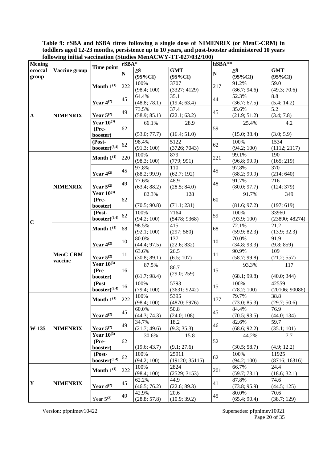**Table 9: rSBA and hSBA titres following a single dose of NIMENRIX (or MenC-CRM) in toddlers aged 12-23 months, persistence up to 10 years, and post-booster administered 10 years following initial vaccination (Studies MenACWY-TT-027/032/100)** 

| <b>Mening</b>                  |                     |                                      | $rSBA*$               |                        | TOROWING INIGHT VACCHIGATOR (DIGGRESS MICHELO ## 1 1 1 $\sigma$ = $\sigma$ = $\sigma$ = $\sigma$ | hSBA**                |                        |                          |
|--------------------------------|---------------------|--------------------------------------|-----------------------|------------------------|--------------------------------------------------------------------------------------------------|-----------------------|------------------------|--------------------------|
| ococcal<br>group               | Vaccine group       | Time point                           | $\mathbf N$           | $\geq 8$<br>$(95\%CI)$ | <b>GMT</b><br>$(95\%CI)$                                                                         | ${\bf N}$             | $\geq 8$<br>$(95\%CI)$ | <b>GMT</b><br>$(95\%CI)$ |
|                                |                     | Month $1^{(1)}$                      | 222                   | 100%<br>(98.4; 100)    | 3707<br>(3327; 4129)                                                                             | 217                   | 91.2%<br>(86.7; 94.6)  | 59.0<br>(49.3; 70.6)     |
|                                |                     | Year $4^{(2)}$                       | 45                    | 64.4%<br>(48.8; 78.1)  | 35.1<br>(19.4; 63.4)                                                                             | 44                    | 52.3%<br>(36.7; 67.5)  | 8.8<br>(5.4; 14.2)       |
| $\mathbf A$                    | <b>NIMENRIX</b>     | Year $5^{(2)}$                       | 49                    | 73.5%<br>(58.9; 85.1)  | 37.4<br>(22.1; 63.2)                                                                             | 45                    | 35.6%<br>(21.9; 51.2)  | 5.2<br>(3.4; 7.8)        |
|                                |                     | Year $10^{(3)}$<br>(Pre-             | 62                    | 66.1%                  | 28.9                                                                                             | 59                    | 25.4%                  | 4.2                      |
|                                |                     | booster)                             |                       | (53.0; 77.7)           | (16.4; 51.0)                                                                                     |                       | (15.0; 38.4)           | (3.0; 5.9)               |
|                                |                     | (Post-<br>$\text{booster})^{(3,4)}$  | 62                    | 98.4%<br>(91.3; 100)   | 5122<br>(3726; 7043)                                                                             | 62                    | 100%<br>(94.2; 100)    | 1534<br>(1112; 2117)     |
|                                |                     | Month $1^{(1)}$                      | 220                   | 100%<br>(98.3; 100)    | 879<br>(779; 991)                                                                                | 221                   | 99.1%<br>(96.8; 99.9)  | 190<br>(165; 219)        |
|                                |                     | Year $4^{(2)}$                       | 45                    | 97.8%<br>(88.2; 99.9)  | 110<br>(62.7; 192)                                                                               | 45                    | 97.8%<br>(88.2; 99.9)  | 370<br>(214; 640)        |
| <b>NIMENRIX</b><br>$\mathbf C$ | Year $5^{(2)}$      | 49                                   | 77.6%<br>(63.4; 88.2) | 48.9<br>(28.5; 84.0)   | 48                                                                                               | 91.7%<br>(80.0; 97.7) | 216<br>(124; 379)      |                          |
|                                |                     | Year $10^{(3)}$<br>(Pre-<br>booster) | 62                    | 82.3%<br>(70.5; 90.8)  | 128<br>(71.1; 231)                                                                               | 60                    | 91.7%<br>(81.6; 97.2)  | 349<br>(197; 619)        |
|                                |                     | (Post-<br>$booster)^{(3,4)}$         | 62                    | 100%<br>(94.2; 100)    | 7164<br>(5478; 9368)                                                                             | 59                    | 100%<br>(93.9; 100)    | 33960<br>(23890; 48274)  |
|                                |                     | Month $1^{(1)}$                      | 68                    | 98.5%<br>(92.1; 100)   | 415<br>(297; 580)                                                                                | 68                    | 72.1%<br>(59.9; 82.3)  | 21.2<br>(13.9; 32.3)     |
|                                |                     | Year $4^{(2)}$                       | 10                    | 80.0%<br>(44.4; 97.5)  | 137<br>(22.6; 832)                                                                               | 10                    | 70.0%<br>(34.8; 93.3)  | 91.9<br>(9.8; 859)       |
|                                | MenC-CRM<br>vaccine | Year $5^{(2)}$                       | 11                    | 63.6%<br>(30.8; 89.1)  | 26.5<br>(6.5; 107)                                                                               | 11                    | 90.9%<br>(58.7; 99.8)  | 109<br>(21.2; 557)       |
|                                |                     | Year $10^{(3)}$<br>(Pre-<br>booster) | 16                    | 87.5%<br>(61.7; 98.4)  | 86.7<br>(29.0; 259)                                                                              | 15                    | 93.3%<br>(68.1; 99.8)  | 117<br>(40.0; 344)       |
|                                |                     | (Post-<br>$booster)^{(3,4)}$         | 16                    | 100%<br>(79.4; 100)    | 5793<br>(3631; 9242)                                                                             | 15                    | 100%<br>(78.2; 100)    | 42559<br>(20106; 90086)  |
|                                |                     | Month $1^{(1)}$                      | 222                   | 100%<br>(98.4; 100)    | 5395<br>(4870; 5976)                                                                             | 177                   | 79.7%<br>(73.0; 85.3)  | 38.8<br>(29.7; 50.6)     |
|                                |                     | Year $4^{(2)}$                       | 45                    | 60.0%<br>(44.3; 74.3)  | 50.8<br>(24.0; 108)                                                                              | 45                    | 84.4%<br>(70.5; 93.5)  | 76.9<br>(44.0; 134)      |
| W-135                          | <b>NIMENRIX</b>     | Year $5^{(2)}$                       | 49                    | 34.7%<br>(21.7; 49.6)  | 18.2<br>(9.3; 35.3)                                                                              | 46                    | 82.6%<br>(68.6; 92.2)  | 59.7<br>(35.1; 101)      |
|                                |                     | Year $10^{(3)}$<br>(Pre-<br>booster) | 62                    | 30.6%<br>(19.6; 43.7)  | 15.8<br>(9.1; 27.6)                                                                              | 52                    | 44.2%<br>(30.5; 58.7)  | 7.7<br>(4.9; 12.2)       |
|                                |                     | $(Post -$<br>$booster)^{(3,4)}$      | 62                    | 100%<br>(94.2; 100)    | 25911<br>(19120; 35115)                                                                          | 62                    | 100%<br>(94.2; 100)    | 11925<br>(8716; 16316)   |
|                                |                     | Month $1^{(1)}$                      | 222                   | 100%<br>(98.4; 100)    | 2824<br>(2529; 3153)                                                                             | 201                   | 66.7%<br>(59.7; 73.1)  | 24.4<br>(18.6; 32.1)     |
| Y                              | <b>NIMENRIX</b>     | Year $4^{(2)}$                       | 45                    | 62.2%<br>(46.5; 76.2)  | 44.9<br>(22.6; 89.3)                                                                             | 41                    | 87.8%<br>(73.8; 95.9)  | 74.6<br>(44.5; 125)      |
|                                |                     | Year $5^{(2)}$                       | 49                    | 42.9%<br>(28.8; 57.8)  | 20.6<br>(10.9; 39.2)                                                                             | 45                    | 80.0%<br>(65.4; 90.4)  | 70.6<br>(38.7; 129)      |

Version: pfpnimev10422 Supersedes: pfpnimev10921 Page 20 of 35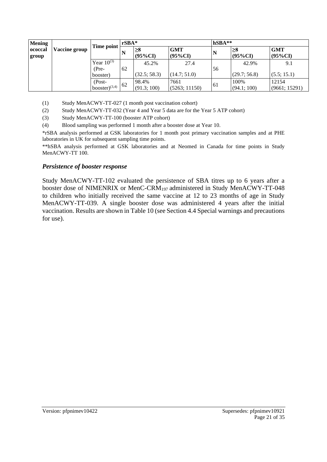| <b>Mening</b>    |               |                                      | $rSBA*$ |                        |                          | $hSBA**$ |                       |                          |
|------------------|---------------|--------------------------------------|---------|------------------------|--------------------------|----------|-----------------------|--------------------------|
| ococcal<br>group | Vaccine group | Time point                           | N       | $\geq 8$<br>$(95\%CI)$ | <b>GMT</b><br>$(95\%CI)$ | N        | ≧8<br>$(95\%CI)$      | <b>GMT</b><br>$(95\%CI)$ |
|                  |               | Year $10^{(3)}$<br>(Pre-<br>booster) | 62      | 45.2%<br>(32.5; 58.3)  | 27.4<br>(14.7; 51.0)     | 56       | 42.9%<br>(29.7; 56.8) | 9.1<br>(5.5; 15.1)       |
|                  |               | (Post-<br>booster $)^{(3,4)}$        | 62      | 98.4%<br>(91.3; 100)   | 7661<br>(5263; 11150)    | 61       | 100%<br>(94.1; 100)   | 12154<br>(9661; 15291)   |

(1) Study MenACWY-TT-027 (1 month post vaccination cohort)

- (2) Study MenACWY-TT-032 (Year 4 and Year 5 data are for the Year 5 ATP cohort)
- (3) Study MenACWY-TT-100 (booster ATP cohort)
- (4) Blood sampling was performed 1 month after a booster dose at Year 10.

\*rSBA analysis performed at GSK laboratories for 1 month post primary vaccination samples and at PHE laboratories in UK for subsequent sampling time points.

\*\*hSBA analysis performed at GSK laboratories and at Neomed in Canada for time points in Study MenACWY-TT 100.

#### *Persistence of booster response*

Study MenACWY-TT-102 evaluated the persistence of SBA titres up to 6 years after a booster dose of NIMENRIX or MenC-CRM197 administered in Study MenACWY-TT-048 to children who initially received the same vaccine at 12 to 23 months of age in Study MenACWY-TT-039. A single booster dose was administered 4 years after the initial vaccination. Results are shown in Table 10 (see Section 4.4 Special warnings and precautions for use).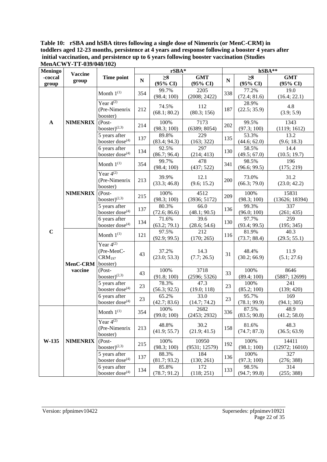**Table 10: rSBA and hSBA titres following a single dose of Nimenrix (or MenC-CRM) in toddlers aged 12-23 months, persistence at 4 years and response following a booster 4 years after initial vaccination, and persistence up to 6 years following booster vaccination (Studies MenACWY-TT-039/048/102)**

| <b>Meningo</b>   |                         |                                                                |           | rSBA*                           |                        |           | hSBA**                          |                         |
|------------------|-------------------------|----------------------------------------------------------------|-----------|---------------------------------|------------------------|-----------|---------------------------------|-------------------------|
| -coccal<br>group | <b>Vaccine</b><br>group | Time point                                                     | ${\bf N}$ | $\geq 8$<br>$(95\% \text{ CI})$ | <b>GMT</b><br>(95% CI) | ${\bf N}$ | $\geq 8$<br>$(95\% \text{ CI})$ | <b>GMT</b><br>(95% CI)  |
|                  |                         | Month $1^{(1)}$                                                | 354       | 99.7%<br>(98.4; 100)            | 2205<br>(2008; 2422)   | 338       | 77.2%<br>(72.4; 81.6)           | 19.0<br>(16.4; 22.1)    |
|                  |                         | Year $4^{(2)}$<br>(Pre-Nimenrix<br>booster)                    | 212       | 74.5%<br>(68.1; 80.2)           | 112<br>(80.3; 156)     | 187       | 28.9%<br>(22.5; 35.9)           | 4.8<br>(3.9; 5.9)       |
| $\mathbf{A}$     | <b>NIMENRIX</b>         | $(Post -$<br>booster) $(2,3)$                                  | 214       | 100%<br>(98.3; 100)             | 7173<br>(6389; 8054)   | 202       | 99.5%<br>(97.3; 100)            | 1343<br>(1119; 1612)    |
|                  |                         | 5 years after<br>booster dose <sup>(4)</sup>                   | 137       | 89.8%<br>(83.4; 94.3)           | 229<br>(163; 322)      | 135       | 53.3%<br>(44.6; 62.0)           | 13.2<br>(9.6; 18.3)     |
|                  |                         | 6 years after<br>booster dose <sup>(4)</sup>                   | 134       | 92.5%<br>(86.7; 96.4)           | 297<br>(214; 413)      | 130       | 58.5%<br>(49.5; 67.0)           | 14.4<br>(10.5; 19.7)    |
|                  |                         | Month $1^{(1)}$                                                | 354       | 99.7%<br>(98.4; 100)            | 478<br>(437; 522)      | 341       | 98.5%<br>(96.6; 99.5)           | 196<br>(175; 219)       |
|                  |                         | Year $4^{(2)}$<br>(Pre-Nimenrix<br>booster)                    | 213       | 39.9%<br>(33.3; 46.8)           | 12.1<br>(9.6; 15.2)    | 200       | 73.0%<br>(66.3; 79.0)           | 31.2<br>(23.0; 42.2)    |
|                  | <b>NIMENRIX</b>         | $(Post -$<br>booster) $(2,3)$                                  | 215       | 100%<br>(98.3; 100)             | 4512<br>(3936; 5172)   | 209       | 100%<br>(98.3; 100)             | 15831<br>(13626; 18394) |
|                  |                         | 5 years after<br>booster dose <sup>(4)</sup>                   | 137       | 80.3%<br>(72.6; 86.6)           | 66.0<br>(48.1; 90.5)   | 136       | 99.3%<br>(96.0; 100)            | 337<br>(261; 435)       |
|                  |                         | 6 years after<br>booster dose <sup>(4)</sup>                   | 134       | 71.6%<br>(63.2; 79.1)           | 39.6<br>(28.6; 54.6)   | 130       | 97.7%<br>(93.4; 99.5)           | 259<br>(195; 345)       |
| $\mathbf C$      | MenC-CRM                | Month $1^{(1)}$                                                | 121       | 97.5%<br>(92.9; 99.5)           | 212<br>(170; 265)      | 116       | 81.9%<br>(73.7; 88.4)           | 40.3<br>(29.5; 55.1)    |
|                  |                         | Year $4^{(2)}$<br>(Pre-MenC-<br>CRM <sub>197</sub><br>booster) | 43        | 37.2%<br>(23.0; 53.3)           | 14.3<br>(7.7; 26.5)    | 31        | 48.4%<br>(30.2; 66.9)           | 11.9<br>(5.1; 27.6)     |
|                  | vaccine                 | $(Post -$<br>$booster)^{(2,3)}$                                | 43        | 100%<br>(91.8; 100)             | 3718<br>(2596; 5326)   | 33        | 100%<br>(89.4; 100)             | 8646<br>(5887; 12699)   |
|                  |                         | 5 years after<br>booster dose <sup>(4)</sup>                   | 23        | 78.3%<br>(56.3; 92.5)           | 47.3<br>(19.0; 118)    | 23        | 100%<br>(85.2; 100)             | 241<br>(139; 420)       |
|                  |                         | 6 years after<br>booster dose <sup>(4)</sup>                   | 23        | 65.2%<br>(42.7; 83.6)           | 33.0<br>(14.7; 74.2)   | 23        | 95.7%<br>(78.1; 99.9)           | 169<br>(94.1; 305)      |
|                  |                         | Month $1^{(1)}$                                                | 354       | 100%<br>(99.0; 100)             | 2682<br>(2453; 2932)   | 336       | 87.5%<br>(83.5; 90.8)           | 48.9<br>(41.2; 58.0)    |
|                  |                         | Year $4^{(2)}$<br>(Pre-Nimenrix<br>booster)                    | 213       | 48.8%<br>(41.9; 55.7)           | 30.2<br>(21.9; 41.5)   | 158       | 81.6%<br>(74.7; 87.3)           | 48.3<br>(36.5; 63.9)    |
| W-135            | <b>NIMENRIX</b>         | (Post-<br>booster) $(2,3)$                                     | 215       | 100%<br>(98.3; 100)             | 10950<br>(9531; 12579) | 192       | 100%<br>(98.1; 100)             | 14411<br>(12972; 16010) |
|                  |                         | 5 years after<br>booster dose <sup>(4)</sup>                   | 137       | 88.3%<br>(81.7; 93.2)           | 184<br>(130; 261)      | 136       | 100%<br>(97.3; 100)             | 327<br>(276; 388)       |
|                  |                         | 6 years after<br>booster dose <sup>(4)</sup>                   | 134       | 85.8%<br>(78.7; 91.2)           | 172<br>(118; 251)      | 133       | 98.5%<br>(94.7; 99.8)           | 314<br>(255; 388)       |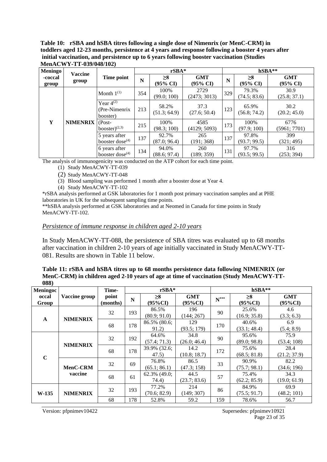#### **Table 10: rSBA and hSBA titres following a single dose of Nimenrix (or MenC-CRM) in toddlers aged 12-23 months, persistence at 4 years and response following a booster 4 years after initial vaccination, and persistence up to 6 years following booster vaccination (Studies MenACWY-TT-039/048/102)**

| <b>Meningo</b>   | <b>Vaccine</b>  |                                             |     | $rSBA*$               |                        |     |                                 | hSBA**                 |
|------------------|-----------------|---------------------------------------------|-----|-----------------------|------------------------|-----|---------------------------------|------------------------|
| -coccal<br>group | group           | Time point                                  | N   | $\geq 8$<br>(95% CI)  | <b>GMT</b><br>(95% CI) | N   | $\geq 8$<br>$(95\% \text{ CI})$ | <b>GMT</b><br>(95% CI) |
|                  |                 | Month $1^{(1)}$                             | 354 | 100%<br>(99.0; 100)   | 2729<br>(2473; 3013)   | 329 | 79.3%<br>(74.5; 83.6)           | 30.9<br>(25.8; 37.1)   |
|                  |                 | Year $4^{(2)}$<br>(Pre-Nimenrix<br>booster) | 213 | 58.2%<br>(51.3; 64.9) | 37.3<br>(27.6; 50.4)   | 123 | 65.9%<br>(56.8; 74.2)           | 30.2<br>(20.2; 45.0)   |
| Y                | <b>NIMENRIX</b> | $(Post -$<br>booster) $(2,3)$               | 215 | 100%<br>(98.3; 100)   | 4585<br>(4129; 5093)   | 173 | 100%<br>(97.9; 100)             | 6776<br>(5961; 7701)   |
|                  |                 | 5 years after<br>booster dose $(4)$         | 137 | 92.7%<br>(87.0; 96.4) | 265<br>(191; 368)      | 137 | 97.8%<br>(93.7; 99.5)           | 399<br>(321; 495)      |
|                  |                 | 6 years after<br>booster dose $(4)$         | 134 | 94.0%<br>(88.6; 97.4) | 260<br>(189; 359)      | 131 | 97.7%<br>(93.5; 99.5)           | 316<br>(253; 394)      |

The analysis of immunogenicity was conducted on the ATP cohort for each time point.

(1) Study MenACWY-TT-039

(2) Study MenACWY-TT-048

(3) Blood sampling was performed 1 month after a booster dose at Year 4.

(4) Study MenACWY-TT-102

\*rSBA analysis performed at GSK laboratories for 1 month post primary vaccination samples and at PHE laboratories in UK for the subsequent sampling time points.

\*\*hSBA analysis performed at GSK laboratories and at Neomed in Canada for time points in Study MenACWY-TT-102.

#### *Persistence of immune response in children aged 2-10 years*

In Study MenACWY-TT-088, the persistence of SBA titres was evaluated up to 68 months after vaccination in children 2-10 years of age initially vaccinated in Study MenACWY-TT-081. Results are shown in Table 11 below.

#### **Table 11: rSBA and hSBA titres up to 68 months persistence data following NIMENRIX (or MenC-CRM) in children aged 2-10 years of age at time of vaccination (Study MenACWY-TT-088)**

| Meningoc       |                 | Time-             |             | $rSBA*$                  |                       |                    | hSBA**                 |                          |
|----------------|-----------------|-------------------|-------------|--------------------------|-----------------------|--------------------|------------------------|--------------------------|
| occal<br>Group | Vaccine group   | point<br>(months) | $\mathbf N$ | $\geq 8$<br>$(95\%CI)$   | <b>GMT</b><br>(95%CI) | $\textbf{N}^{***}$ | $\geq 8$<br>$(95\%CI)$ | <b>GMT</b><br>$(95\%CI)$ |
| $\mathbf{A}$   | <b>NIMENRIX</b> | 32                | 193         | 86.5%<br>(80.9; 91.0)    | 196<br>(144; 267)     | 90                 | 25.6%<br>(16.9; 35.8)  | 4.6<br>(3.3; 6.3)        |
|                |                 | 68                | 178         | 86.5% (80.6;<br>91.2)    | 129<br>(93.5; 179)    | 170                | 40.6%<br>(33.1; 48.4)  | 6.9<br>(5.4; 8.9)        |
|                | <b>NIMENRIX</b> | 32                | 192         | 64.6%<br>(57.4; 71.3)    | 34.8<br>(26.0; 46.4)  | 90                 | 95.6%<br>(89.0; 98.8)  | 75.9<br>(53.4; 108)      |
| $\mathbf C$    |                 | 68                | 178         | 39.9% (32.6;<br>47.5)    | 14.2<br>(10.8; 18.7)  | 172                | 75.6%<br>(68.5; 81.8)  | 28.4<br>(21.2; 37.9)     |
|                | <b>MenC-CRM</b> | 32                | 69          | 76.8%<br>(65.1; 86.1)    | 86.5<br>(47.3; 158)   | 33                 | 90.9%<br>(75.7; 98.1)  | 82.2<br>(34.6; 196)      |
|                | vaccine         | 68                | 61          | $62.3\%$ (49.0;<br>74.4) | 44.5<br>(23.7; 83.6)  | 57                 | 75.4%<br>(62.2; 85.9)  | 34.3<br>(19.0; 61.9)     |
| $W-135$        | <b>NIMENRIX</b> | 32                | 193         | 77.2%<br>(70.6; 82.9)    | 214<br>(149; 307)     | 86                 | 84.9%<br>(75.5; 91.7)  | 69.9<br>(48.2; 101)      |
|                |                 | 68                | 178         | 52.8%                    | 59.2                  | 159                | 78.6%                  | 56.7                     |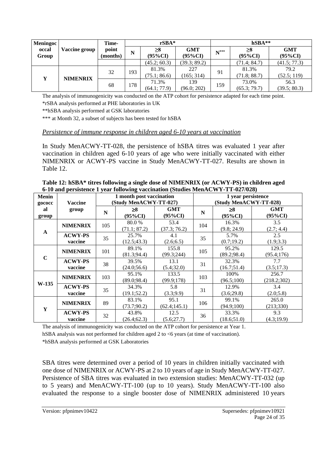| <b>Meningoc</b> |                 | Time-             |     | $rSBA*$                |                          | $hSBA**$           |                       |                          |  |
|-----------------|-----------------|-------------------|-----|------------------------|--------------------------|--------------------|-----------------------|--------------------------|--|
| occal<br>Group  | Vaccine group   | point<br>(months) | N   | $\geq 8$<br>$(95\%CI)$ | <b>GMT</b><br>$(95\%CI)$ | $\textbf{N}^{***}$ | ≥8<br>(95%CI)         | <b>GMT</b><br>$(95\%CI)$ |  |
|                 |                 |                   |     | (45.2; 60.3)           | (39.3; 89.2)             |                    | (71.4; 84.7)          | (41.5; 77.3)             |  |
| Y               |                 | 32                | 193 | 81.3%<br>(75.1; 86.6)  | 227<br>165; 314)         | 91                 | 81.3%<br>(71.8; 88.7) | 79.2<br>(52.5; 119)      |  |
|                 | <b>NIMENRIX</b> | 68                | 178 | 71.3%<br>(64.1; 77.9)  | 139<br>(96.0; 202)       | 159                | 73.0%<br>(65.3; 79.7) | 56.3<br>(39.5; 80.3)     |  |

The analysis of immunogenicity was conducted on the ATP cohort for persistence adapted for each time point. \*rSBA analysis performed at PHE laboratories in UK

\*\*hSBA analysis performed at GSK laboratories

\*\*\* at Month 32, a subset of subjects has been tested for hSBA

#### *Persistence of immune response in children aged 6-10 years at vaccination*

In Study MenACWY-TT-028, the persistence of hSBA titres was evaluated 1 year after vaccination in children aged 6-10 years of age who were initially vaccinated with either NIMENRIX or ACWY-PS vaccine in Study MenACWY-TT-027. Results are shown in Table 12.

| <b>Menin</b>          | <b>Vaccine</b>            |     | 1 month post vaccination<br>(Study MenACWY-TT-027) |                          | 1 year persistence<br>(Study MenACWY-TT-028) |                       |                          |  |
|-----------------------|---------------------------|-----|----------------------------------------------------|--------------------------|----------------------------------------------|-----------------------|--------------------------|--|
| gococc<br>al<br>group | group                     | N   | ≥8<br>$(95\%CI)$                                   | <b>GMT</b><br>$(95\%CI)$ | N                                            | ≥8<br>$(95\%CI)$      | <b>GMT</b><br>$(95\%CI)$ |  |
| $\mathbf{A}$          | <b>NIMENRIX</b>           | 105 | 80.0 %<br>(71.1; 87.2)                             | 53.4<br>(37.3; 76.2)     | 104                                          | 16.3%<br>(9.8; 24.9)  | 3.5<br>(2.7; 4.4)        |  |
|                       | <b>ACWY-PS</b><br>vaccine | 35  | 25.7%<br>(12.5; 43.3)                              | 4.1<br>(2.6;6.5)         | 35                                           | 5.7%<br>(0.7;19.2)    | 2.5<br>(1.9; 3.3)        |  |
| $\mathbf C$           | <b>NIMENRIX</b>           | 101 | 89.1%<br>(81.3; 94.4)                              | 155.8<br>(99.3;244)      | 105                                          | 95.2%<br>(89.2; 98.4) | 129.5<br>(95.4;176)      |  |
|                       | <b>ACWY-PS</b><br>vaccine | 38  | 39.5%<br>(24.0;56.6)                               | 13.1<br>(5.4; 32.0)      | 31                                           | 32.3%<br>(16.7;51.4)  | 7.7<br>(3.5;17.3)        |  |
| $W-135$               | <b>NIMENRIX</b>           | 103 | 95.1%<br>(89.0; 98.4)                              | 133.5<br>(99.9;178)      | 103                                          | 100%<br>(96.5;100)    | 256.7<br>(218.2;302)     |  |
|                       | <b>ACWY-PS</b><br>vaccine | 35  | 34.3%<br>(19.1; 52.2)                              | 5.8<br>(3.3; 9.9)        | 31                                           | 12.9%<br>(3.6; 29.8)  | 3.4<br>(2.0; 5.8)        |  |
| Y                     | <b>NIMENRIX</b>           | 89  | 83.1%<br>(73.7; 90.2)                              | 95.1<br>(62.4; 145.1)    | 106                                          | 99.1%<br>(94.9;100)   | 265.0<br>(213; 330)      |  |
|                       | <b>ACWY-PS</b><br>vaccine | 32  | 43.8%<br>(26.4; 62.3)                              | 12.5<br>(5.6; 27.7)      | 36                                           | 33.3%<br>(18.6;51.0)  | 9.3<br>(4.3;19.9)        |  |

**Table 12: hSBA\* titres following a single dose of NIMENRIX (or ACWY-PS) in children aged 6-10 and persistence 1 year following vaccination (Studies MenACWY-TT-027/028)**

The analysis of immunogenicity was conducted on the ATP cohort for persistence at Year 1. hSBA analysis was not performed for children aged 2 to  $\leq$  to ears (at time of vaccination).

\*hSBA analysis performed at GSK Laboratories

SBA titres were determined over a period of 10 years in children initially vaccinated with one dose of NIMENRIX or ACWY-PS at 2 to 10 years of age in Study MenACWY-TT-027. Persistence of SBA titres was evaluated in two extension studies: MenACWY-TT-032 (up to 5 years) and MenACWY-TT-100 (up to 10 years). Study MenACWY-TT-100 also evaluated the response to a single booster dose of NIMENRIX administered 10 years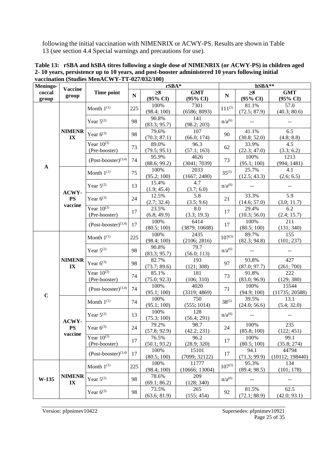following the initial vaccination with NIMENRIX or ACWY-PS. Results are shown in Table 13 (see section 4.4 Special warnings and precautions for use).

| Meningo-    |                          |                                 |           | rSBA*               |                     |             | hSBA**                    |                             |
|-------------|--------------------------|---------------------------------|-----------|---------------------|---------------------|-------------|---------------------------|-----------------------------|
| coccal      | <b>Vaccine</b>           | Time point                      | ${\bf N}$ | $\geq 8$            | <b>GMT</b>          |             | $\geq 8$                  | <b>GMT</b>                  |
| group       | group                    |                                 |           | $(95\% \text{ CI})$ | $(95\% \text{ CI})$ | ${\bf N}$   | (95% CI)                  | (95% CI)                    |
|             |                          |                                 |           | 100%                | 7301                |             | 81.1%                     | 57.0                        |
|             |                          | Month $1^{(1)}$                 | 225       | (98.4; 100)         | (6586; 8093)        | $111^{(5)}$ | (72.5; 87.9)              | (40.3; 80.6)                |
|             |                          | Year $5^{(2)}$                  | 98        | 90.8%               | 141                 | $n/a^{(6)}$ | $\mathbb{L}^{\mathbb{L}}$ |                             |
|             |                          |                                 |           | (83.3; 95.7)        | (98.2; 203)         |             |                           | $\mathbb{L} \mathbb{L}$     |
|             | <b>NIMENR</b>            | Year $6^{(3)}$                  | 98        | 79.6%               | 107                 | 90          | 41.1%                     | 6.5                         |
|             | $\mathbf{IX}$            |                                 |           | (70.3; 87.1)        | (66.0; 174)         |             | (30.8; 52.0)              | (4.8; 8.8)                  |
|             |                          | Year $10^{(3)}$                 | 73        | 89.0%               | 96.3                | 62          | 33.9%                     | 4.5                         |
|             |                          | (Pre-booster)                   |           | (79.5; 95.1)        | (57.1; 163)         |             | (22.3; 47.0)              | (3.3; 6.2)                  |
|             |                          | $(Post-booster)^{(3,4)}$        | 74        | 95.9%               | 4626                | 73          | 100%                      | 1213                        |
| $\mathbf A$ |                          |                                 |           | (88.6; 99.2)        | (3041; 7039)        |             | (95.1; 100)               | (994; 1481)                 |
|             |                          | Month $1^{(1)}$                 | 75        | 100%                | 2033                | $35^{(5)}$  | 25.7%                     | 4.1                         |
|             |                          |                                 |           | (95.2; 100)         | (1667; 2480)        |             | (12.5; 43.3)              | (2.6; 6.5)                  |
|             |                          | Year $5^{(2)}$                  | 13        | 15.4%               | 4.7                 | $n/a^{(6)}$ | $\overline{\phantom{m}}$  | $\mathcal{L}_{\mathcal{F}}$ |
|             | ACWY-                    |                                 |           | (1.9; 45.4)         | (3.7; 6.0)          |             |                           |                             |
|             | <b>PS</b>                | Year $6^{(3)}$                  | 24        | 12.5%               | 5.8                 | 21          | 33.3%                     | 5.9                         |
|             | vaccine                  |                                 |           | (2.7; 32.4)         | (3.5; 9.6)          |             | (14.6; 57.0)              | (3.0; 11.7)                 |
|             |                          | Year $10^{(3)}$                 | 17        | 23.5%               | 8.0                 | 17          | 29.4%                     | 6.2                         |
|             |                          | (Pre-booster)                   |           | (6.8; 49.9)         | (3.3; 19.3)         |             | (10.3; 56.0)              | (2.4; 15.7)                 |
|             |                          | $(Post-booster)^{(3,4)}$        | 17        | 100%                | 6414                | 17          | 100%                      | 211                         |
|             |                          |                                 |           | (80.5; 100)         | (3879; 10608)       |             | (80.5; 100)               | (131; 340)                  |
|             |                          | Month $1^{(1)}$                 | 225       | 100%                | 2435                | $107^{(5)}$ | 89.7%                     | 155                         |
|             |                          |                                 |           | (98.4; 100)         | (2106; 2816)        |             | (82.3; 94.8)              | (101; 237)                  |
|             |                          | Year $5^{(2)}$                  | 98        | 90.8%               | 79.7                | $n/a^{(6)}$ |                           |                             |
|             |                          |                                 |           | (83.3; 95.7)        | (56.0; 113)         |             |                           |                             |
|             | <b>NIMENR</b>            | Year $6^{(3)}$                  | 98        | 82.7%               | 193                 | 97          | 93.8%                     | 427                         |
|             | $\mathbf{I} \mathbf{X}$  |                                 |           | (73.7; 89.6)        | (121; 308)          |             | (87.0; 97.7)              | (261; 700)                  |
|             |                          | Year $10^{(3)}$                 | 74        | 85.1%               | 181                 | 73          | 91.8%                     | 222                         |
|             |                          | (Pre-booster)                   |           | (75.0; 92.3)        | (106; 310)          |             | (83.0; 96.9)              | (129; 380)                  |
|             |                          | $(Post-booster)^{(3,4)}$        | 74        | 100%                | 4020                | 71          | 100%                      | 15544                       |
| $\mathbf C$ |                          |                                 |           | (95.1; 100)         | (3319; 4869)        |             | (94.9; 100)               | (11735; 20588)              |
|             |                          | Month $1^{(1)}$                 | 74        | 100%                | 750                 | $38^{(5)}$  | 39.5%                     | 13.1                        |
|             |                          |                                 |           | (95.1; 100)         | (555; 1014)         |             | (24.0; 56.6)              | (5.4; 32.0)                 |
|             |                          | Year $5^{(2)}$                  | 13        | 100%                | 128                 | $n/a^{(6)}$ |                           | $\mathbf{u} =$              |
|             | ACWY-                    |                                 |           | (75.3; 100)         | (56.4; 291)         |             |                           |                             |
|             | $\overline{\mathbf{PS}}$ | Year $6^{(3)}$                  | $24\,$    | 79.2%               | 98.7                | 24          | 100%                      | 235                         |
|             | vaccine                  |                                 |           | (57.8; 92.9)        | (42.2; 231)         |             | (85.8; 100)               | (122; 451)                  |
|             |                          | Year $10^{(3)}$                 | 17        | 76.5%               | 96.2                | 17          | 100%                      | 99.1                        |
|             |                          | (Pre-booster)                   |           | (50.1; 93.2)        | (28.9; 320)         |             | (80.5; 100)               | (35.8; 274)                 |
|             |                          | $(Post\text{-}booster)^{(3,4)}$ | 17        | 100%                | 15101               | 17          | 94.1                      | 44794                       |
|             |                          |                                 |           | (80.5; 100)         | (7099; 32122)       |             | (71.3; 99.9)              | (10112; 198440)             |
|             |                          | Month $1^{(1)}$                 | 225       | 100%                | 11777               | $107^{(5)}$ | 95.3%                     | 134                         |
|             |                          |                                 |           | (98.4; 100)         | (10666; 13004)      |             | (89.4; 98.5)              | (101; 178)                  |
| W-135       | <b>NIMENR</b>            | Year $5^{(2)}$<br>98            | 78.6%     | 209                 | n/a <sup>(6)</sup>  |             |                           |                             |
|             | $\mathbf{IX}$            |                                 |           | (69.1; 86.2)        | (128; 340)          |             |                           |                             |
|             |                          | Year $6^{(3)}$                  | 98        | 73.5%               | 265                 | 92          | 81.5%                     | 62.5                        |
|             |                          |                                 |           | (63.6; 81.9)        | (155; 454)          |             | (72.1; 88.9)              | (42.0; 93.1)                |

**Table 13: rSBA and hSBA titres following a single dose of NIMENRIX (or ACWY-PS) in children aged 2- 10 years, persistence up to 10 years, and post-booster administered 10 years following initial vaccination (Studies MenACWY-TT-027/032/100)**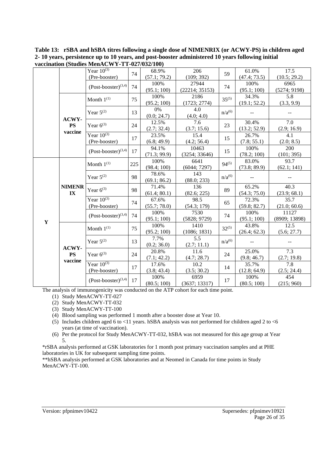|             |                         | Year $\overline{10^{(3)}}$            | 74   | 68.9%        | 206            | 59                 | 61.0%        | 17.5          |
|-------------|-------------------------|---------------------------------------|------|--------------|----------------|--------------------|--------------|---------------|
|             |                         | (Pre-booster)                         |      | (57.1; 79.2) | (109; 392)     |                    | (47.4; 73.5) | (10.5; 29.2)  |
|             |                         | $(Post-booster)^{(3,4)}$              | 74   | 100%         | 27944          | 74                 | 100%         | 6965          |
|             |                         |                                       |      | (95.1; 100)  | (22214; 35153) |                    | (95.1; 100)  | (5274; 9198)  |
|             |                         | Month $1^{(1)}$                       | 75   | 100%         | 2186           | $35^{(5)}$         | 34.3%        | 5.8           |
|             |                         |                                       |      | (95.2; 100)  | (1723; 2774)   |                    | (19.1; 52.2) | (3.3, 9.9)    |
|             |                         | Year $5^{(2)}$                        | 13   | 0%           | 4.0            | $n/a^{(6)}$        |              |               |
|             | ACWY-                   |                                       |      | (0.0; 24.7)  | (4.0; 4.0)     |                    |              |               |
|             | <b>PS</b>               | Year $6^{(3)}$                        | 24   | 12.5%        | 7.6            | 23                 | 30.4%        | 7.0           |
|             | vaccine                 |                                       |      | (2.7; 32.4)  | (3.7; 15.6)    |                    | (13.2; 52.9) | (2.9; 16.9)   |
|             |                         | Year $10^{(3)}$                       | 17   | 23.5%        | 15.4           | 15                 | 26.7%        | 4.1           |
|             |                         | (Pre-booster)                         |      | (6.8; 49.9)  | (4.2; 56.4)    |                    | (7.8; 55.1)  | (2.0; 8.5)    |
|             |                         | $(Post\text{-}booster)^{(3,4)}$       | 17   | 94.1%        | 10463          | 15                 | 100%         | 200           |
|             |                         |                                       |      | (71.3; 99.9) | (3254; 33646)  |                    | (78.2; 100)  | (101; 395)    |
|             |                         | Month $1^{(1)}$                       | 225  | 100%         | 6641           | $94^{(5)}$         | 83.0%        | 93.7          |
|             |                         |                                       |      | (98.4; 100)  | (6044; 7297)   |                    | (73.8; 89.9) | (62.1; 141)   |
|             |                         | Year $5^{(2)}$                        | 98   | 78.6%        | 143            | $n/a^{(6)}$        |              |               |
|             |                         |                                       |      | (69.1; 86.2) | (88.0; 233)    |                    |              |               |
|             | <b>NIMENR</b>           | Year $6^{(3)}$                        | 98   | 71.4%        | 136            | 89                 | 65.2%        | 40.3          |
|             | $\mathbf{I} \mathbf{X}$ |                                       |      | (61.4; 80.1) | (82.6; 225)    |                    | (54.3; 75.0) | (23.9; 68.1)  |
|             |                         | Year $10^{(3)}$                       | 74   | 67.6%        | 98.5           | 65                 | 72.3%        | 35.7          |
|             |                         | (Pre-booster)                         |      | (55.7; 78.0) | (54.3; 179)    |                    | (59.8; 82.7) | (21.0; 60.6)  |
|             |                         | $(Post-booster)^{(3,4)}$              | 74   | 100%         | 7530           | 74                 | 100%         | 11127         |
| $\mathbf Y$ |                         |                                       |      | (95.1; 100)  | (5828; 9729)   |                    | (95.1; 100)  | (8909; 13898) |
|             |                         | Month $1^{(1)}$                       | 75   | 100%         | 1410           | $32^{(5)}$         | 43.8%        | 12.5          |
|             |                         |                                       |      | (95.2; 100)  | (1086; 1831)   |                    | (26.4; 62.3) | (5.6; 27.7)   |
|             |                         | Year $5^{(2)}$                        | 13   | 7.7%         | 5.5            | n/a <sup>(6)</sup> |              |               |
|             | ACWY-                   |                                       |      | (0.2; 36.0)  | (2.7; 11.1)    |                    |              |               |
|             | <b>PS</b>               | Year $6^{(3)}$                        | 24   | 20.8%        | 11.6           | 24                 | 25.0%        | 7.3           |
|             | vaccine                 |                                       |      | (7.1; 42.2)  | (4.7; 28.7)    |                    | (9.8; 46.7)  | (2.7; 19.8)   |
|             |                         | Year $10^{(3)}$                       | 17   | 17.6%        | 10.2           | 14                 | 35.7%        | 7.8           |
|             |                         | (Pre-booster)                         |      | (3.8; 43.4)  | (3.5; 30.2)    |                    | (12.8; 64.9) | (2.5; 24.4)   |
|             |                         | $(Post\text{-}booster)^{(3,4)}$<br>17 | 100% | 6959         | 17             | 100%               | 454          |               |
|             |                         |                                       |      | (80.5; 100)  | (3637; 13317)  |                    | (80.5; 100)  | (215; 960)    |

**Table 13: rSBA and hSBA titres following a single dose of NIMENRIX (or ACWY-PS) in children aged 2- 10 years, persistence up to 10 years, and post-booster administered 10 years following initial vaccination (Studies MenACWY-TT-027/032/100)**

The analysis of immunogenicity was conducted on the ATP cohort for each time point.

(1) Study MenACWY-TT-027

- (2) Study MenACWY-TT-032
- (3) Study MenACWY-TT-100
- (4) Blood sampling was performed 1 month after a booster dose at Year 10.
- (5) Includes children aged 6 to <11 years. hSBA analysis was not performed for children aged 2 to <6 years (at time of vaccination).
- (6) Per the protocol for Study MenACWY-TT-032, hSBA was not measured for this age group at Year 5.

\*rSBA analysis performed at GSK laboratories for 1 month post primary vaccination samples and at PHE laboratories in UK for subsequent sampling time points.

\*\*hSBA analysis performed at GSK laboratories and at Neomed in Canada for time points in Study MenACWY-TT-100.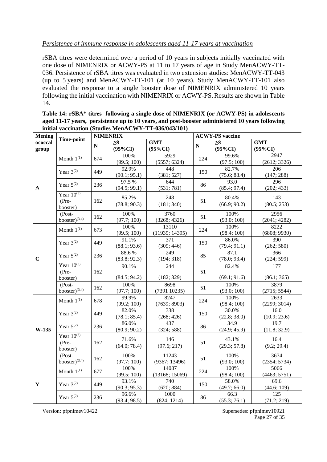#### *Persistence of immune response in adolescents aged 11-17 years at vaccination*

rSBA titres were determined over a period of 10 years in subjects initially vaccinated with one dose of NIMENRIX or ACWY-PS at 11 to 17 years of age in Study MenACWY-TT-036. Persistence of rSBA titres was evaluated in two extension studies: MenACWY-TT-043 (up to 5 years) and MenACWY-TT-101 (at 10 years). Study MenACWY-TT-101 also evaluated the response to a single booster dose of NIMENRIX administered 10 years following the initial vaccination with NIMENRIX or ACWY-PS.Results are shown in Table 14.

**Table 14: rSBA\* titres following a single dose of NIMENRIX (or ACWY-PS) in adolescents aged 11-17 years, persistence up to 10 years, and post-booster administered 10 years following initial vaccination (Studies MenACWY-TT-036/043/101)**

| <b>Mening</b>    |                                        | <b>NIMENRIX</b> |                        |                          |           | <b>ACWY-PS</b> vaccine |                          |
|------------------|----------------------------------------|-----------------|------------------------|--------------------------|-----------|------------------------|--------------------------|
| ococcal<br>group | Time-point                             | ${\bf N}$       | $\geq 8$<br>$(95\%CI)$ | <b>GMT</b><br>$(95\%CI)$ | ${\bf N}$ | >8<br>$(95\%CI)$       | <b>GMT</b><br>$(95\%CI)$ |
|                  | Month $1^{(1)}$                        | 674             | 100%<br>(99.5; 100)    | 5929<br>(5557; 6324)     | 224       | 99.6%<br>(97.5; 100)   | 2947<br>(2612; 3326)     |
|                  | Year $3^{(2)}$                         | 449             | 92.9%<br>(90.1; 95.1)  | 448<br>(381; 527)        | 150       | 82.7%<br>(75.6; 88.4)  | 206<br>(147; 288)        |
| $\mathbf{A}$     | Year $5^{(2)}$                         | 236             | 97.5%<br>(94.5; 99.1)  | 644<br>(531; 781)        | 86        | 93.0<br>(85.4; 97.4)   | 296<br>(202; 433)        |
|                  | Year $10^{(3)}$<br>$(Pre-$<br>booster) | 162             | 85.2%<br>(78.8; 90.3)  | 248<br>(181; 340)        | 51        | 80.4%<br>(66.9; 90.2)  | 143<br>(80.5; 253)       |
|                  | $(Post -$<br>booster) $(3,4)$          | 162             | 100%<br>(97.7; 100)    | 3760<br>(3268; 4326)     | 51        | 100%<br>(93.0; 100)    | 2956<br>(2041; 4282)     |
|                  | Month $1^{(1)}$                        | 673             | 100%<br>(99.5; 100)    | 13110<br>(11939; 14395)  | 224       | 100%<br>(98.4; 100)    | 8222<br>(6808; 9930)     |
|                  | Year $3^{(2)}$                         | 449             | 91.1%<br>(88.1; 93.6)  | 371<br>(309; 446)        | 150       | 86.0%<br>(79.4; 91.1)  | 390<br>(262; 580)        |
| $\mathbf C$      | Year $5^{(2)}$                         | 236             | 88.6%<br>(83.8; 92.3)  | 249<br>(194; 318)        | 85        | 87.1<br>(78.0; 93.4)   | 366<br>(224; 599)        |
|                  | Year $10^{(3)}$<br>$(Pre-$<br>booster) | 162             | 90.1%<br>(84.5; 94.2)  | 244<br>(182; 329)        | 51        | 82.4%<br>(69.1; 91.6)  | 177<br>(86.1; 365)       |
|                  | $(Post -$<br>booster) $(3,4)$          | 162             | 100%<br>(97.7; 100)    | 8698<br>(739110235)      | 51        | 100%<br>(93.0; 100)    | 3879<br>(2715; 5544)     |
|                  | Month $1^{(1)}$                        | 678             | 99.9%<br>(99.2; 100)   | 8247<br>(7639; 8903)     | 224       | 100%<br>(98.4; 100)    | 2633<br>(2299; 3014)     |
|                  | Year $3^{(2)}$                         | 449             | 82.0%<br>(78.1; 85.4)  | 338<br>(268; 426)        | 150       | 30.0%<br>(22.8; 38.0)  | 16.0<br>(10.9; 23.6)     |
| W-135            | Year $5^{(2)}$                         | 236             | 86.0%<br>(80.9; 90.2)  | 437<br>(324; 588)        | 86        | 34.9<br>(24.9; 45.9)   | 19.7<br>(11.8; 32.9)     |
|                  | Year $10^{(3)}$<br>$(Pre-$<br>booster) | 162             | 71.6%<br>(64.0; 78.4)  | 146<br>(97.6; 217)       | 51        | 43.1%<br>(29.3; 57.8)  | 16.4<br>(9.2; 29.4)      |
|                  | $(Post -$<br>booster) $(3,4)$          | 162             | 100%<br>(97.7; 100)    | 11243<br>(9367; 13496)   | 51        | 100%<br>(93.0; 100)    | 3674<br>(2354; 5734)     |
|                  | Month $1^{(1)}$                        | 677             | 100%<br>(99.5; 100)    | 14087<br>(13168; 15069)  | 224       | 100%<br>(98.4; 100)    | 5066<br>(4463; 5751)     |
| $\mathbf Y$      | Year $3^{(2)}$                         | 449             | 93.1%<br>(90.3; 95.3)  | 740<br>(620; 884)        | 150       | 58.0%<br>(49.7; 66.0)  | 69.6<br>(44.6; 109)      |
|                  | Year $5^{(2)}$                         | 236             | 96.6%<br>(93.4; 98.5)  | 1000<br>(824; 1214)      | 86        | 66.3<br>(55.3; 76.1)   | 125<br>(71.2; 219)       |

Version: pfpnimev10422 Supersedes: pfpnimev10921

Page 27 of 35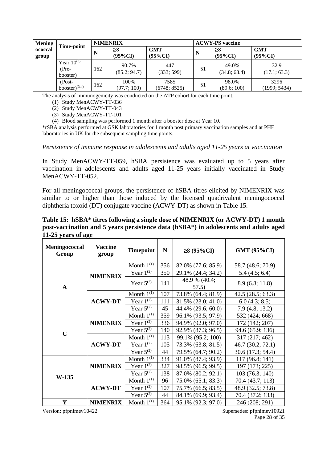| <b>Mening</b>    | Time-point                             | <b>NIMENRIX</b> |                        |                          | <b>ACWY-PS</b> vaccine |                        |                          |  |
|------------------|----------------------------------------|-----------------|------------------------|--------------------------|------------------------|------------------------|--------------------------|--|
| ococcal<br>group |                                        | N               | $\geq 8$<br>$(95\%CI)$ | <b>GMT</b><br>$(95\%CI)$ | N                      | $\geq 8$<br>$(95\%CI)$ | <b>GMT</b><br>$(95\%CI)$ |  |
|                  | Year $10^{(3)}$<br>$(Pre-$<br>booster) | 162             | 90.7%<br>(85.2; 94.7)  | 447<br>(333; 599)        | 51                     | 49.0%<br>(34.8; 63.4)  | 32.9<br>(17.1; 63.3)     |  |
|                  | $(Post -$<br>booster $)^{(3,4)}$       | 162             | 100%<br>(97.7; 100)    | 7585<br>(6748; 8525)     | 51                     | 98.0%<br>(89.6; 100)   | 3296<br>(1999; 5434)     |  |

The analysis of immunogenicity was conducted on the ATP cohort for each time point.

(1) Study MenACWY-TT-036

(2) Study MenACWY-TT-043

(3) Study MenACWY-TT-101

(4) Blood sampling was performed 1 month after a booster dose at Year 10.

\*rSBA analysis performed at GSK laboratories for 1 month post primary vaccination samples and at PHE laboratories in UK for the subsequent sampling time points.

#### *Persistence of immune response in adolescents and adults aged 11-25 years at vaccination*

In Study MenACWY-TT-059, hSBA persistence was evaluated up to 5 years after vaccination in adolescents and adults aged 11-25 years initially vaccinated in Study MenACWY-TT-052.

For all meningococcal groups, the persistence of hSBA titres elicited by NIMENRIX was similar to or higher than those induced by the licensed quadrivalent meningococcal diphtheria toxoid (DT) conjugate vaccine (ACWY-DT) as shown in Table 15.

**Table 15: hSBA\* titres following a single dose of NIMENRIX (or ACWY-DT) 1 month post-vaccination and 5 years persistence data (hSBA\*) in adolescents and adults aged 11-25 years of age** 

| Meningococcal<br>Group | <b>Vaccine</b><br>group | <b>Timepoint</b> | $\mathbf N$ | ≥8 (95%CI)             | <b>GMT (95%CI)</b> |
|------------------------|-------------------------|------------------|-------------|------------------------|--------------------|
|                        |                         | Month $1^{(1)}$  | 356         | 82.0% (77.6; 85.9)     | 58.7 (48.6; 70.9)  |
|                        | <b>NIMENRIX</b>         | Year $1^{(2)}$   | 350         | 29.1% (24.4; 34.2)     | 5.4(4.5; 6.4)      |
| $\mathbf{A}$           |                         | Year $5^{(2)}$   | 141         | 48.9 % (40.4;<br>57.5) | 8.9(6.8; 11.8)     |
|                        |                         | Month $1^{(1)}$  | 107         | 73.8% (64.4; 81.9)     | 42.5(28.5; 63.3)   |
|                        | <b>ACWY-DT</b>          | Year $1^{(2)}$   | 111         | 31.5% (23.0; 41.0)     | 6.0(4.3; 8.5)      |
|                        |                         | Year $5^{(2)}$   | 45          | 44.4% (29.6; 60.0)     | 7.9(4.8; 13.2)     |
| $\mathbf C$            | <b>NIMENRIX</b>         | Month $1^{(1)}$  | 359         | 96.1% (93.5; 97.9)     | 532 (424; 668)     |
|                        |                         | Year $1^{(2)}$   | 336         | 94.9% (92.0; 97.0)     | 172 (142; 207)     |
|                        |                         | Year $5^{(2)}$   | 140         | 92.9% (87.3; 96.5)     | 94.6 (65.9; 136)   |
|                        | <b>ACWY-DT</b>          | Month $1^{(1)}$  | 113         | 99.1% (95.2; 100)      | 317 (217; 462)     |
|                        |                         | Year $1^{(2)}$   | 105         | 73.3% (63.8; 81.5)     | 46.7 (30.2; 72.1)  |
|                        |                         | Year $5^{(2)}$   | 44          | 79.5% (64.7; 90.2)     | 30.6 (17.3; 54.4)  |
| W-135                  |                         | Month $1^{(1)}$  | 334         | 91.0% (87.4; 93.9)     | 117 (96.8; 141)    |
|                        | <b>NIMENRIX</b>         | Year $1^{(2)}$   | 327         | 98.5% (96.5; 99.5)     | 197 (173; 225)     |
|                        |                         | Year $5^{(2)}$   | 138         | 87.0% (80.2; 92.1)     | 103(76.3; 140)     |
|                        |                         | Month $1^{(1)}$  | 96          | 75.0% (65.1; 83.3)     | 70.4 (43.7; 113)   |
|                        | <b>ACWY-DT</b>          | Year $1^{(2)}$   | 107         | 75.7% (66.5; 83.5)     | 48.9 (32.5; 73.8)  |
|                        |                         | Year $5^{(2)}$   | 44          | 84.1% (69.9; 93.4)     | 70.4 (37.2; 133)   |
| Y                      | <b>NIMENRIX</b>         | Month $1^{(1)}$  | 364         | 95.1% (92.3; 97.0)     | 246 (208; 291)     |

Version: pfpnimev10422 Supersedes: pfpnimev10921

Page 28 of 35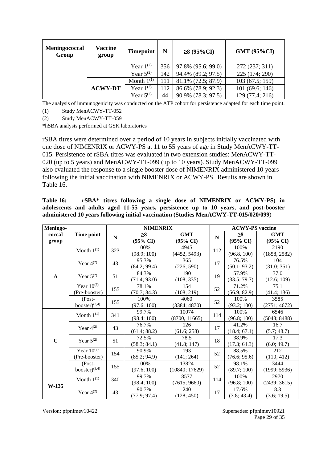| Meningococcal<br>Group | Vaccine<br>group | <b>Timepoint</b> | N   | ≥8 (95%CI)         | <b>GMT (95%CI)</b> |  |
|------------------------|------------------|------------------|-----|--------------------|--------------------|--|
|                        |                  | Year $1^{(2)}$   | 356 | 97.8% (95.6; 99.0) | 272 (237; 311)     |  |
|                        |                  | Year $5^{(2)}$   | 142 | 94.4% (89.2; 97.5) | 225 (174; 290)     |  |
|                        |                  | Month $1^{(1)}$  | 111 | 81.1% (72.5; 87.9) | 103(67.5; 159)     |  |
|                        | <b>ACWY-DT</b>   | Year $1^{(2)}$   | 112 | 86.6% (78.9; 92.3) | 101 (69.6; 146)    |  |
|                        |                  | Year $5^{(2)}$   | 44  | 90.9% (78.3; 97.5) | 129 (77.4; 216)    |  |

The analysis of immunogenicity was conducted on the ATP cohort for persistence adapted for each time point.

(1) Study MenACWY-TT-052

(2) Study MenACWY-TT-059

\*hSBA analysis performed at GSK laboratories

rSBA titres were determined over a period of 10 years in subjects initially vaccinated with one dose of NIMENRIX or ACWY-PS at 11 to 55 years of age in Study MenACWY-TT-015. Persistence of rSBA titres was evaluated in two extension studies: MenACWY-TT-020 (up to 5 years) and MenACWY-TT-099 (up to 10 years). Study MenACWY-TT-099 also evaluated the response to a single booster dose of NIMENRIX administered 10 years following the initial vaccination with NIMENRIX or ACWY-PS. Results are shown in Table 16.

**Table 16: rSBA\* titres following a single dose of NIMENRIX or ACWY-PS) in adolescents and adults aged 11-55 years, persistence up to 10 years, and post-booster administered 10 years following initial vaccination (Studies MenACWY-TT-015/020/099**)

| Meningo-        |                                  |             | <b>NIMENRIX</b>                 |                                   |             | <b>ACWY-PS</b> vaccine          |                                   |  |  |
|-----------------|----------------------------------|-------------|---------------------------------|-----------------------------------|-------------|---------------------------------|-----------------------------------|--|--|
| coccal<br>group | Time point                       | $\mathbf N$ | $\geq 8$<br>$(95\% \text{ CI})$ | <b>GMT</b><br>$(95\% \text{ CI})$ | $\mathbf N$ | $\geq 8$<br>$(95\% \text{ CI})$ | <b>GMT</b><br>$(95\% \text{ CI})$ |  |  |
|                 | Month $1^{(1)}$                  | 323         | 100\%<br>(98.9; 100)            | 4945<br>(4452, 5493)              | 112         | 100%<br>(96.8, 100)             | 2190<br>(1858, 2582)              |  |  |
|                 | Year $4^{(2)}$                   | 43          | 95.3%<br>(84.2; 99.4)           | 365<br>(226; 590)                 | 17          | 76.5%<br>(50.1; 93.2)           | 104<br>(31.0; 351)                |  |  |
| $\mathbf{A}$    | Year $5^{(2)}$                   | 51          | 84.3%<br>(71.4; 93.0)           | 190<br>(108; 335)                 | 19          | 57.9%<br>(33.5; 79.7)           | 37.0<br>(12.6; 109)               |  |  |
|                 | Year $10^{(3)}$<br>(Pre-booster) | 155         | 78.1%<br>(70.7; 84.3)           | 154<br>(108; 219)                 | 52          | 71.2%<br>(56.9; 82.9)           | 75.1<br>(41.4; 136)               |  |  |
|                 | $(Post -$<br>booster $)^{(3,4)}$ | 155         | 100%<br>(97.6; 100)             | 4060<br>(3384; 4870)              | 52          | 100%<br>(93.2; 100)             | 3585<br>(2751; 4672)              |  |  |
|                 | Month $1^{(1)}$                  | 341         | 99.7%<br>(98.4; 100)            | 10074<br>(8700, 11665)            | 114         | 100%<br>(96.8; 100)             | 6546<br>(5048; 8488)              |  |  |
|                 | Year $4^{(2)}$                   | 43          | 76.7%<br>(61.4; 88.2)           | 126<br>(61.6; 258)                | 17          | 41.2%<br>(18.4; 67.1)           | 16.7<br>(5.7; 48.7)               |  |  |
| $\mathbf C$     | Year $5^{(2)}$                   | 51          | 72.5%<br>(58.3; 84.1)           | 78.5<br>(41.8; 147)               | 18          | 38.9%<br>(17.3; 64.3)           | 17.3<br>(6.0; 49.7)               |  |  |
|                 | Year $10^{(3)}$<br>(Pre-booster) | 154         | 90.9%<br>(85.2; 94.9)           | 193<br>(141; 264)                 | 52          | 88.5%<br>(76.6; 95.6)           | 212<br>(110; 412)                 |  |  |
|                 | $(Post -$<br>booster $)^{(3,4)}$ | 155         | 100%<br>(97.6; 100)             | 13824<br>(10840; 17629)           | 52          | 98.1%<br>(89.7; 100)            | 3444<br>(1999; 5936)              |  |  |
|                 | Month $1^{(1)}$                  | 340         | 99.7%<br>(98.4; 100)            | 8577<br>(7615; 9660)              | 114         | 100%<br>(96.8; 100)             | 2970<br>(2439; 3615)              |  |  |
| $W-135$         | Year $4^{(2)}$                   | 43          | 90.7%<br>(77.9; 97.4)           | 240<br>(128; 450)                 | 17          | 17.6%<br>(3.8; 43.4)            | 8.3<br>(3.6; 19.5)                |  |  |

Version: pfpnimev10422 Supersedes: pfpnimev10921 Page 29 of 35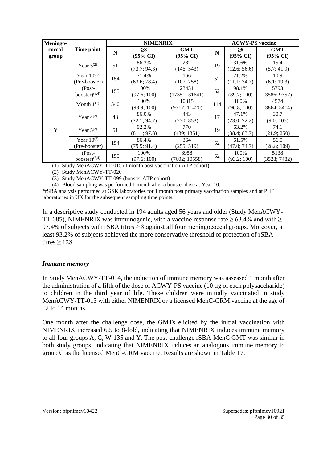| Meningo- |                     | <b>NIMENRIX</b> |              |                     |     | <b>ACWY-PS</b> vaccine |                     |  |  |
|----------|---------------------|-----------------|--------------|---------------------|-----|------------------------|---------------------|--|--|
| coccal   | Time point          | N               | $\geq 8$     | GMT                 | N   | $\geq 8$               | <b>GMT</b>          |  |  |
| group    |                     |                 | (95% CI)     | $(95\% \text{ CI})$ |     | $(95\% \text{ CI})$    | $(95\% \text{ CI})$ |  |  |
|          | Year $5^{(2)}$      | 51              | 86.3%        | 282                 | 19  | 31.6%                  | 15.4                |  |  |
|          |                     |                 | (73.7; 94.3) | (146; 543)          |     | (12.6; 56.6)           | (5.7; 41.9)         |  |  |
|          | Year $10^{(3)}$     | 154             | 71.4%        | 166                 | 52  | 21.2%                  | 10.9                |  |  |
|          | (Pre-booster)       |                 | (63.6; 78.4) | (107; 258)          |     | (11.1; 34.7)           | (6.1; 19.3)         |  |  |
|          | $(Post -$           | 155             | 100%         | 23431               | 52  | 98.1%                  | 5793                |  |  |
|          | booster $)^{(3,4)}$ |                 | (97.6; 100)  | (17351; 31641)      |     | (89.7; 100)            | (3586; 9357)        |  |  |
|          | Month $1^{(1)}$     | 340             | 100%         | 10315               | 114 | 100%                   | 4574                |  |  |
|          |                     |                 | (98.9; 100)  | (9317; 11420)       |     | (96.8; 100)            | (3864; 5414)        |  |  |
|          | Year $4^{(2)}$      | 43              | 86.0%        | 443                 | 17  | 47.1%                  | 30.7                |  |  |
|          |                     |                 | (72.1; 94.7) | (230; 853)          |     | (23.0; 72.2)           | (9.0; 105)          |  |  |
| Y        | Year $5^{(2)}$      | 51              | 92.2%        | 770                 | 19  | 63.2%                  | 74.1                |  |  |
|          |                     |                 | (81.1; 97.8) | (439; 1351)         |     | (38.4; 83.7)           | (21.9; 250)         |  |  |
|          | Year $10^{(3)}$     | 154             | 86.4%        | 364                 | 52  | 61.5%                  | 56.0                |  |  |
|          | (Pre-booster)       |                 | (79.9; 91.4) | (255; 519)          |     | (47.0; 74.7)           | (28.8; 109)         |  |  |
|          | (Post-              |                 | 100%         | 8958                | 52  | 100%                   | 5138                |  |  |
|          | booster $)^{(3,4)}$ | 155             | (97.6; 100)  | (7602; 10558)       |     | (93.2; 100)            | (3528; 7482)        |  |  |

(1) Study MenACWY-TT-015 (1 month post vaccination ATP cohort)

(2) Study MenACWY-TT-020

(3) Study MenACWY-TT-099 (booster ATP cohort)

(4) Blood sampling was performed 1 month after a booster dose at Year 10.

\*rSBA analysis performed at GSK laboratories for 1 month post primary vaccination samples and at PHE laboratories in UK for the subsequent sampling time points.

In a descriptive study conducted in 194 adults aged 56 years and older (Study MenACWY-TT-085), NIMENRIX was immunogenic, with a vaccine response rate  $\geq 63.4\%$  and with  $\geq$ 97.4% of subjects with rSBA titres > 8 against all four meningococcal groups. Moreover, at least 93.2% of subjects achieved the more conservative threshold of protection of rSBA titres  $\geq$  128.

#### *Immune memory*

In Study MenACWY-TT-014, the induction of immune memory was assessed 1 month after the administration of a fifth of the dose of ACWY-PS vaccine (10 µg of each polysaccharide) to children in the third year of life. These children were initially vaccinated in study MenACWY-TT-013 with either NIMENRIX or a licensed MenC-CRM vaccine at the age of 12 to 14 months.

One month after the challenge dose, the GMTs elicited by the initial vaccination with NIMENRIX increased 6.5 to 8-fold, indicating that NIMENRIX induces immune memory to all four groups A, C, W-135 and Y. The post-challenge rSBA-MenC GMT was similar in both study groups, indicating that NIMENRIX induces an analogous immune memory to group C as the licensed MenC-CRM vaccine. Results are shown in Table 17.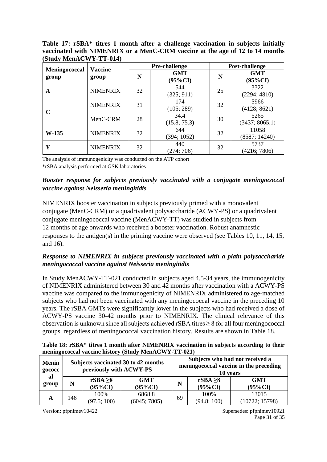**Table 17: rSBA\* titres 1 month after a challenge vaccination in subjects initially vaccinated with NIMENRIX or a MenC-CRM vaccine at the age of 12 to 14 months (Study MenACWY-TT-014)**

|                                                   |                 |    | Pre-challenge         | Post-challenge |                        |  |
|---------------------------------------------------|-----------------|----|-----------------------|----------------|------------------------|--|
| Meningococcal<br><b>Vaccine</b><br>group<br>group |                 | N  | <b>GMT</b><br>(95%CI) |                | <b>GMT</b><br>(95%CI)  |  |
| A                                                 | <b>NIMENRIX</b> | 32 | 544<br>(325; 911)     | 25             | 3322<br>(2294; 4810)   |  |
| C                                                 | <b>NIMENRIX</b> | 31 | 174<br>(105; 289)     | 32             | 5966<br>(4128; 8621)   |  |
|                                                   | MenC-CRM        | 28 | 34.4<br>(15.8; 75.3)  | 30             | 5265<br>(3437; 8065.1) |  |
| $W-135$                                           | <b>NIMENRIX</b> | 32 | 644<br>(394; 1052)    | 32             | 11058<br>(8587; 14240) |  |
| Y                                                 | <b>NIMENRIX</b> | 32 | 440<br>(274; 706)     | 32             | 5737<br>(4216; 7806)   |  |

The analysis of immunogenicity was conducted on the ATP cohort

\*rSBA analysis performed at GSK laboratories

#### *Booster response for subjects previously vaccinated with a conjugate meningococcal vaccine against Neisseria meningitidis*

NIMENRIX booster vaccination in subjects previously primed with a monovalent conjugate (MenC-CRM) or a quadrivalent polysaccharide (ACWY-PS) or a quadrivalent conjugate meningococcal vaccine (MenACWY-TT) was studied in subjects from 12 months of age onwards who received a booster vaccination. Robust anamnestic responses to the antigen(s) in the priming vaccine were observed (see Tables 10, 11, 14, 15, and 16).

#### *Response to NIMENRIX in subjects previously vaccinated with a plain polysaccharide meningococcal vaccine against Neisseria meningitidis*

In Study MenACWY-TT-021 conducted in subjects aged 4.5-34 years, the immunogenicity of NIMENRIX administered between 30 and 42 months after vaccination with a ACWY-PS vaccine was compared to the immunogenicity of NIMENRIX administered to age-matched subjects who had not been vaccinated with any meningococcal vaccine in the preceding 10 years. The rSBA GMTs were significantly lower in the subjects who had received a dose of ACWY-PS vaccine 30-42 months prior to NIMENRIX. The clinical relevance of this observation is unknown since all subjects achieved rSBA titres  $\geq 8$  for all four meningococcal groups regardless of meningococcal vaccination history. Results are shown in Table 18.

| Table 18: rSBA* titres 1 month after NIMENRIX vaccination in subjects according to their |  |
|------------------------------------------------------------------------------------------|--|
| meningococcal vaccine history (Study MenACWY-TT-021)                                     |  |

| <b>Menin</b><br>gococc<br>al | Subjects vaccinated 30 to 42 months<br>previously with ACWY-PS |                             |                          |    | Subjects who had not received a<br>meningococcal vaccine in the preceding<br>10 years |                          |  |  |
|------------------------------|----------------------------------------------------------------|-----------------------------|--------------------------|----|---------------------------------------------------------------------------------------|--------------------------|--|--|
| group                        | N                                                              | $rSBA \geq 8$<br>$(95\%CI)$ | <b>GMT</b><br>$(95\%CI)$ | N  | rSBA $\geq 8$<br>$(95\%CI)$                                                           | <b>GMT</b><br>$(95\%CI)$ |  |  |
| A                            | 146                                                            | 100%<br>(97.5; 100)         | 6868.8<br>(6045; 7805)   | 69 | 100%<br>(94.8; 100)                                                                   | 13015<br>(10722; 15798)  |  |  |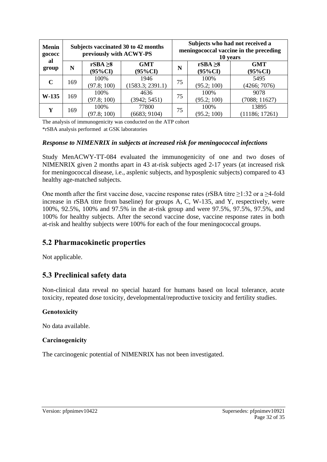| <b>Menin</b><br>gococc | Subjects vaccinated 30 to 42 months<br>previously with ACWY-PS |                             |                          | Subjects who had not received a<br>meningococcal vaccine in the preceding<br>10 years |                             |                          |  |
|------------------------|----------------------------------------------------------------|-----------------------------|--------------------------|---------------------------------------------------------------------------------------|-----------------------------|--------------------------|--|
| al<br>group            | N                                                              | $rSBA \geq 8$<br>$(95\%CI)$ | <b>GMT</b><br>$(95\%CI)$ | N                                                                                     | $rSBA \geq 8$<br>$(95\%CI)$ | <b>GMT</b><br>$(95\%CI)$ |  |
| $\mathbf C$            | 169                                                            | 100%<br>(97.8; 100)         | 1946<br>(1583.3; 2391.1) | 75                                                                                    | 100%<br>(95.2; 100)         | 5495<br>(4266; 7076)     |  |
| $W-135$                | 169                                                            | 100%<br>(97.8; 100)         | 4636<br>(3942; 5451)     | 75                                                                                    | 100%<br>(95.2; 100)         | 9078<br>(7088; 11627)    |  |
| Y                      | 169                                                            | 100%<br>(97.8; 100)         | 77800<br>(6683; 9104)    | 75                                                                                    | 100%<br>(95.2; 100)         | 13895<br>(11186; 17261)  |  |

The analysis of immunogenicity was conducted on the ATP cohort \*rSBA analysis performed at GSK laboratories

#### *Response to NIMENRIX in subjects at increased risk for meningococcal infections*

Study MenACWY-TT-084 evaluated the immunogenicity of one and two doses of NIMENRIX given 2 months apart in 43 at-risk subjects aged 2-17 years (at increased risk for meningococcal disease, i.e., asplenic subjects, and hyposplenic subjects) compared to 43 healthy age-matched subjects.

One month after the first vaccine dose, vaccine response rates (rSBA titre  $\geq$ 1:32 or a  $\geq$ 4-fold increase in rSBA titre from baseline) for groups A, C, W-135, and Y, respectively, were 100%, 92.5%, 100% and 97.5% in the at-risk group and were 97.5%, 97.5%, 97.5%, and 100% for healthy subjects. After the second vaccine dose, vaccine response rates in both at-risk and healthy subjects were 100% for each of the four meningococcal groups.

### **5.2 Pharmacokinetic properties**

Not applicable.

### **5.3 Preclinical safety data**

Non-clinical data reveal no special hazard for humans based on local tolerance, acute toxicity, repeated dose toxicity, developmental/reproductive toxicity and fertility studies.

#### **Genotoxicity**

No data available.

#### **Carcinogenicity**

The carcinogenic potential of NIMENRIX has not been investigated.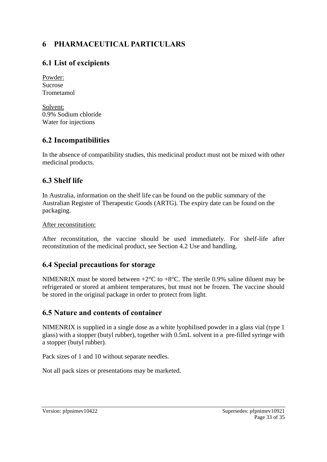# **6 PHARMACEUTICAL PARTICULARS**

# **6.1 List of excipients**

Powder: Sucrose Trometamol

Solvent: 0.9% Sodium chloride Water for injections

# **6.2 Incompatibilities**

In the absence of compatibility studies, this medicinal product must not be mixed with other medicinal products.

# **6.3 Shelf life**

In Australia, information on the shelf life can be found on the public summary of the Australian Register of Therapeutic Goods (ARTG). The expiry date can be found on the packaging.

### After reconstitution:

After reconstitution, the vaccine should be used immediately. For shelf-life after reconstitution of the medicinal product, see Section 4.2 Use and handling.

# **6.4 Special precautions for storage**

NIMENRIX must be stored between  $+2^{\circ}C$  to  $+8^{\circ}C$ . The sterile 0.9% saline diluent may be refrigerated or stored at ambient temperatures, but must not be frozen. The vaccine should be stored in the original package in order to protect from light.

# **6.5 Nature and contents of container**

NIMENRIX is supplied in a single dose as a white lyophilised powder in a glass vial (type 1 glass) with a stopper (butyl rubber), together with 0.5mL solvent in a pre-filled syringe with a stopper (butyl rubber).

Pack sizes of 1 and 10 without separate needles.

Not all pack sizes or presentations may be marketed.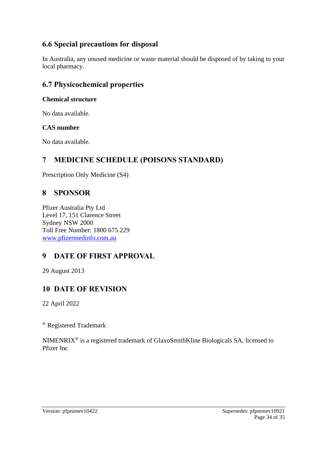# **6.6 Special precautions for disposal**

In Australia, any unused medicine or waste material should be disposed of by taking to your local pharmacy.

### **6.7 Physicochemical properties**

### **Chemical structure**

No data available.

### **CAS number**

No data available.

# **7 MEDICINE SCHEDULE (POISONS STANDARD)**

Prescription Only Medicine (S4)

# **8 SPONSOR**

Pfizer Australia Pty Ltd Level 17, 151 Clarence Street Sydney NSW 2000 Toll Free Number: 1800 675 229 [www.pfizermedinfo.com.au](http://www.pfizermedinfo.com.au/)

# **9 DATE OF FIRST APPROVAL**

29 August 2013

# **10 DATE OF REVISION**

22 April 2022

® Registered Trademark

NIMENRIX® is a registered trademark of GlaxoSmithKline Biologicals SA, licensed to Pfizer Inc